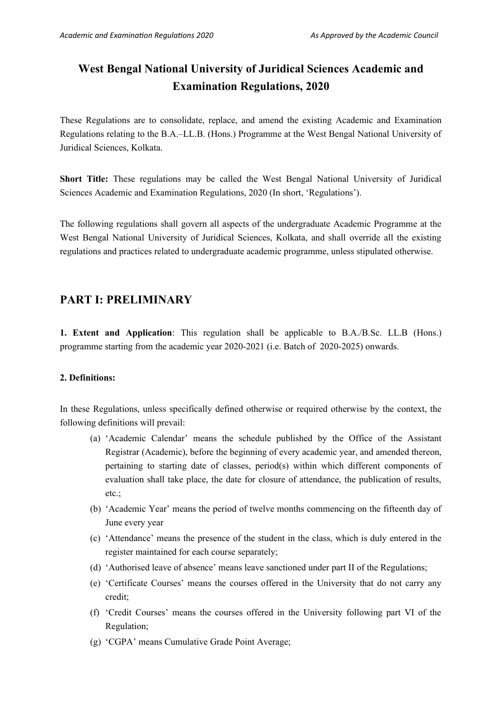# **West Bengal National University of Juridical Sciences Academic and Examination Regulations, 2020**

These Regulations are to consolidate, replace, and amend the existing Academic and Examination Regulations relating to the B.A.–LL.B. (Hons.) Programme at the West Bengal National University of Juridical Sciences, Kolkata.

**Short Title:** These regulations may be called the West Bengal National University of Juridical Sciences Academic and Examination Regulations, 2020 (In short, 'Regulations').

The following regulations shall govern all aspects of the undergraduate Academic Programme at the West Bengal National University of Juridical Sciences, Kolkata, and shall override all the existing regulations and practices related to undergraduate academic programme, unless stipulated otherwise.

## **PART I: PRELIMINARY**

**1. Extent and Application**: This regulation shall be applicable to B.A./B.Sc. LL.B (Hons.) programme starting from the academic year 2020-2021 (i.e. Batch of 2020-2025) onwards.

## **2. Definitions:**

In these Regulations, unless specifically defined otherwise or required otherwise by the context, the following definitions will prevail:

- (a) 'Academic Calendar' means the schedule published by the Office of the Assistant Registrar (Academic), before the beginning of every academic year, and amended thereon, pertaining to starting date of classes, period(s) within which different components of evaluation shall take place, the date for closure of attendance, the publication of results, etc.;
- (b) 'Academic Year' means the period of twelve months commencing on the fifteenth day of June every year
- (c) 'Attendance' means the presence of the student in the class, which is duly entered in the register maintained for each course separately;
- (d) 'Authorised leave of absence' means leave sanctioned under part II of the Regulations;
- (e) 'Certificate Courses' means the courses offered in the University that do not carry any credit;
- (f) 'Credit Courses' means the courses offered in the University following part VI of the Regulation;
- (g) 'CGPA' means Cumulative Grade Point Average;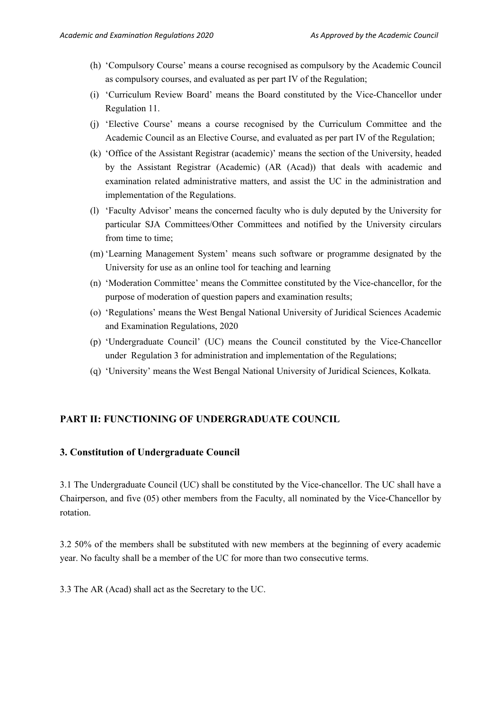- (h) 'Compulsory Course' means a course recognised as compulsory by the Academic Council as compulsory courses, and evaluated as per part IV of the Regulation;
- (i) 'Curriculum Review Board' means the Board constituted by the Vice-Chancellor under Regulation 11.
- (j) 'Elective Course' means a course recognised by the Curriculum Committee and the Academic Council as an Elective Course, and evaluated as per part IV of the Regulation;
- (k) 'Office of the Assistant Registrar (academic)' means the section of the University, headed by the Assistant Registrar (Academic) (AR (Acad)) that deals with academic and examination related administrative matters, and assist the UC in the administration and implementation of the Regulations.
- (l) 'Faculty Advisor' means the concerned faculty who is duly deputed by the University for particular SJA Committees/Other Committees and notified by the University circulars from time to time:
- (m) 'Learning Management System' means such software or programme designated by the University for use as an online tool for teaching and learning
- (n) 'Moderation Committee' means the Committee constituted by the Vice-chancellor, for the purpose of moderation of question papers and examination results;
- (o) 'Regulations' means the West Bengal National University of Juridical Sciences Academic and Examination Regulations, 2020
- (p) 'Undergraduate Council' (UC) means the Council constituted by the Vice-Chancellor under Regulation 3 for administration and implementation of the Regulations;
- (q) 'University' means the West Bengal National University of Juridical Sciences, Kolkata.

## **PART II: FUNCTIONING OF UNDERGRADUATE COUNCIL**

#### **3. Constitution of Undergraduate Council**

3.1 The Undergraduate Council (UC) shall be constituted by the Vice-chancellor. The UC shall have a Chairperson, and five (05) other members from the Faculty, all nominated by the Vice-Chancellor by rotation.

3.2 50% of the members shall be substituted with new members at the beginning of every academic year. No faculty shall be a member of the UC for more than two consecutive terms.

3.3 The AR (Acad) shall act as the Secretary to the UC.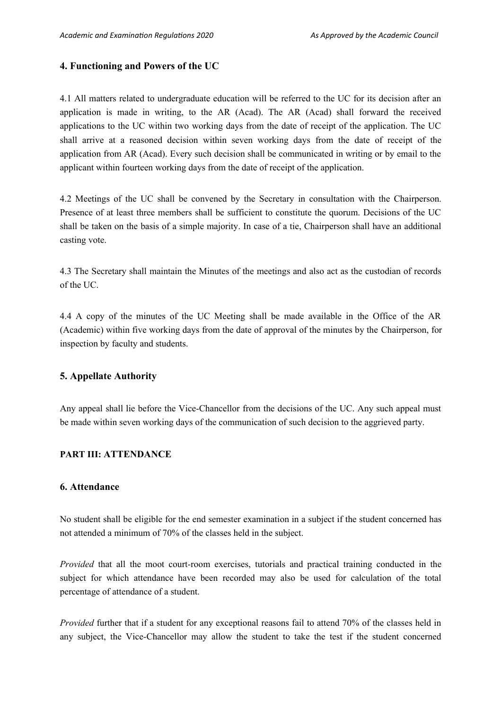#### **4. Functioning and Powers of the UC**

4.1 All matters related to undergraduate education will be referred to the UC for its decision after an application is made in writing, to the AR (Acad). The AR (Acad) shall forward the received applications to the UC within two working days from the date of receipt of the application. The UC shall arrive at a reasoned decision within seven working days from the date of receipt of the application from AR (Acad). Every such decision shall be communicated in writing or by email to the applicant within fourteen working days from the date of receipt of the application.

4.2 Meetings of the UC shall be convened by the Secretary in consultation with the Chairperson. Presence of at least three members shall be sufficient to constitute the quorum. Decisions of the UC shall be taken on the basis of a simple majority. In case of a tie, Chairperson shall have an additional casting vote.

4.3 The Secretary shall maintain the Minutes of the meetings and also act as the custodian of records of the UC.

4.4 A copy of the minutes of the UC Meeting shall be made available in the Office of the AR (Academic) within five working days from the date of approval of the minutes by the Chairperson, for inspection by faculty and students.

#### **5. Appellate Authority**

Any appeal shall lie before the Vice-Chancellor from the decisions of the UC. Any such appeal must be made within seven working days of the communication of such decision to the aggrieved party.

#### **PART III: ATTENDANCE**

#### **6. Attendance**

No student shall be eligible for the end semester examination in a subject if the student concerned has not attended a minimum of 70% of the classes held in the subject.

*Provided* that all the moot court-room exercises, tutorials and practical training conducted in the subject for which attendance have been recorded may also be used for calculation of the total percentage of attendance of a student.

*Provided* further that if a student for any exceptional reasons fail to attend 70% of the classes held in any subject, the Vice-Chancellor may allow the student to take the test if the student concerned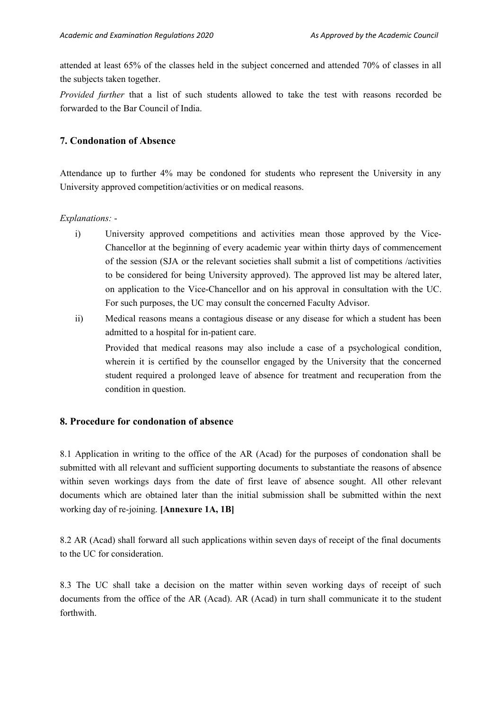attended at least 65% of the classes held in the subject concerned and attended 70% of classes in all the subjects taken together.

*Provided further* that a list of such students allowed to take the test with reasons recorded be forwarded to the Bar Council of India.

## **7. Condonation of Absence**

Attendance up to further 4% may be condoned for students who represent the University in any University approved competition/activities or on medical reasons.

*Explanations:* -

- i) University approved competitions and activities mean those approved by the Vice-Chancellor at the beginning of every academic year within thirty days of commencement of the session (SJA or the relevant societies shall submit a list of competitions /activities to be considered for being University approved). The approved list may be altered later, on application to the Vice-Chancellor and on his approval in consultation with the UC. For such purposes, the UC may consult the concerned Faculty Advisor.
- ii) Medical reasons means a contagious disease or any disease for which a student has been admitted to a hospital for in-patient care.

Provided that medical reasons may also include a case of a psychological condition, wherein it is certified by the counsellor engaged by the University that the concerned student required a prolonged leave of absence for treatment and recuperation from the condition in question.

## **8. Procedure for condonation of absence**

8.1 Application in writing to the office of the AR (Acad) for the purposes of condonation shall be submitted with all relevant and sufficient supporting documents to substantiate the reasons of absence within seven workings days from the date of first leave of absence sought. All other relevant documents which are obtained later than the initial submission shall be submitted within the next working day of re-joining. **[Annexure 1A, 1B]**

8.2 AR (Acad) shall forward all such applications within seven days of receipt of the final documents to the UC for consideration.

8.3 The UC shall take a decision on the matter within seven working days of receipt of such documents from the office of the AR (Acad). AR (Acad) in turn shall communicate it to the student forthwith.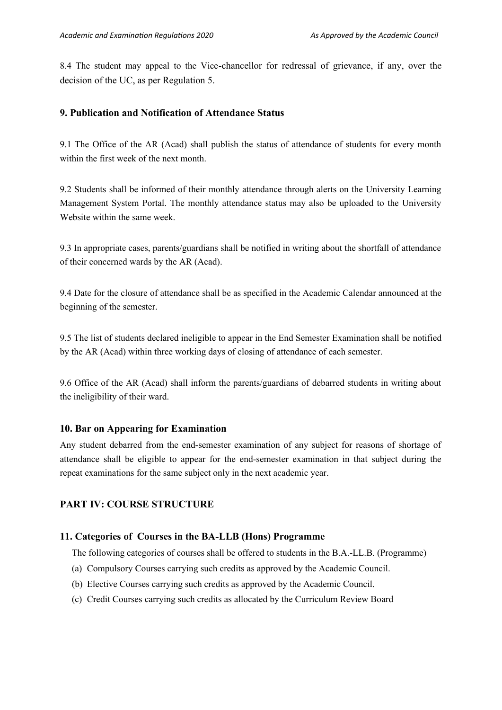8.4 The student may appeal to the Vice-chancellor for redressal of grievance, if any, over the decision of the UC, as per Regulation 5.

## **9. Publication and Notification of Attendance Status**

9.1 The Office of the AR (Acad) shall publish the status of attendance of students for every month within the first week of the next month.

9.2 Students shall be informed of their monthly attendance through alerts on the University Learning Management System Portal. The monthly attendance status may also be uploaded to the University Website within the same week.

9.3 In appropriate cases, parents/guardians shall be notified in writing about the shortfall of attendance of their concerned wards by the AR (Acad).

9.4 Date for the closure of attendance shall be as specified in the Academic Calendar announced at the beginning of the semester.

9.5 The list of students declared ineligible to appear in the End Semester Examination shall be notified by the AR (Acad) within three working days of closing of attendance of each semester.

9.6 Office of the AR (Acad) shall inform the parents/guardians of debarred students in writing about the ineligibility of their ward.

## **10. Bar on Appearing for Examination**

Any student debarred from the end-semester examination of any subject for reasons of shortage of attendance shall be eligible to appear for the end-semester examination in that subject during the repeat examinations for the same subject only in the next academic year.

## **PART IV: COURSE STRUCTURE**

## **11. Categories of Courses in the BA-LLB (Hons) Programme**

The following categories of courses shall be offered to students in the B.A.-LL.B. (Programme)

- (a) Compulsory Courses carrying such credits as approved by the Academic Council.
- (b) Elective Courses carrying such credits as approved by the Academic Council.
- (c) Credit Courses carrying such credits as allocated by the Curriculum Review Board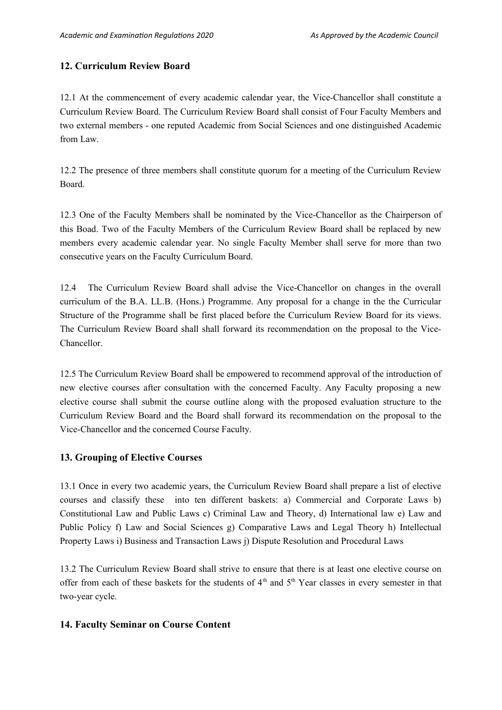## **12. Curriculum Review Board**

12.1 At the commencement of every academic calendar year, the Vice-Chancellor shall constitute a Curriculum Review Board. The Curriculum Review Board shall consist of Four Faculty Members and two external members - one reputed Academic from Social Sciences and one distinguished Academic from Law.

12.2 The presence of three members shall constitute quorum for a meeting of the Curriculum Review Board.

12.3 One of the Faculty Members shall be nominated by the Vice-Chancellor as the Chairperson of this Boad. Two of the Faculty Members of the Curriculum Review Board shall be replaced by new members every academic calendar year. No single Faculty Member shall serve for more than two consecutive years on the Faculty Curriculum Board.

12.4 The Curriculum Review Board shall advise the Vice-Chancellor on changes in the overall curriculum of the B.A. LL.B. (Hons.) Programme. Any proposal for a change in the the Curricular Structure of the Programme shall be first placed before the Curriculum Review Board for its views. The Curriculum Review Board shall shall forward its recommendation on the proposal to the Vice-Chancellor.

12.5 The Curriculum Review Board shall be empowered to recommend approval of the introduction of new elective courses after consultation with the concerned Faculty. Any Faculty proposing a new elective course shall submit the course outline along with the proposed evaluation structure to the Curriculum Review Board and the Board shall forward its recommendation on the proposal to the Vice-Chancellor and the concerned Course Faculty.

## **13. Grouping of Elective Courses**

13.1 Once in every two academic years, the Curriculum Review Board shall prepare a list of elective courses and classify these into ten different baskets: a) Commercial and Corporate Laws b) Constitutional Law and Public Laws c) Criminal Law and Theory, d) International law e) Law and Public Policy f) Law and Social Sciences g) Comparative Laws and Legal Theory h) Intellectual Property Laws i) Business and Transaction Laws j) Dispute Resolution and Procedural Laws

13.2 The Curriculum Review Board shall strive to ensure that there is at least one elective course on offer from each of these baskets for the students of  $4<sup>th</sup>$  and  $5<sup>th</sup>$  Year classes in every semester in that two-year cycle.

## **14. Faculty Seminar on Course Content**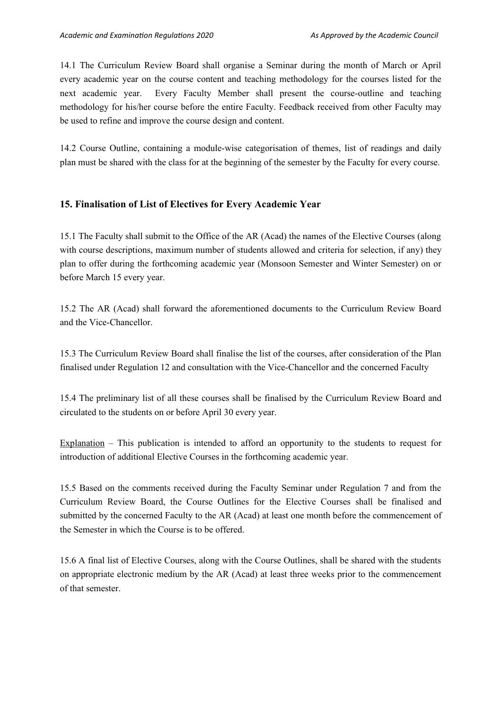14.1 The Curriculum Review Board shall organise a Seminar during the month of March or April every academic year on the course content and teaching methodology for the courses listed for the next academic year. Every Faculty Member shall present the course-outline and teaching methodology for his/her course before the entire Faculty. Feedback received from other Faculty may be used to refine and improve the course design and content.

14.2 Course Outline, containing a module-wise categorisation of themes, list of readings and daily plan must be shared with the class for at the beginning of the semester by the Faculty for every course.

## **15. Finalisation of List of Electives for Every Academic Year**

15.1 The Faculty shall submit to the Office of the AR (Acad) the names of the Elective Courses (along with course descriptions, maximum number of students allowed and criteria for selection, if any) they plan to offer during the forthcoming academic year (Monsoon Semester and Winter Semester) on or before March 15 every year.

15.2 The AR (Acad) shall forward the aforementioned documents to the Curriculum Review Board and the Vice-Chancellor.

15.3 The Curriculum Review Board shall finalise the list of the courses, after consideration of the Plan finalised under Regulation 12 and consultation with the Vice-Chancellor and the concerned Faculty

15.4 The preliminary list of all these courses shall be finalised by the Curriculum Review Board and circulated to the students on or before April 30 every year.

Explanation – This publication is intended to afford an opportunity to the students to request for introduction of additional Elective Courses in the forthcoming academic year.

15.5 Based on the comments received during the Faculty Seminar under Regulation 7 and from the Curriculum Review Board, the Course Outlines for the Elective Courses shall be finalised and submitted by the concerned Faculty to the AR (Acad) at least one month before the commencement of the Semester in which the Course is to be offered.

15.6 A final list of Elective Courses, along with the Course Outlines, shall be shared with the students on appropriate electronic medium by the AR (Acad) at least three weeks prior to the commencement of that semester.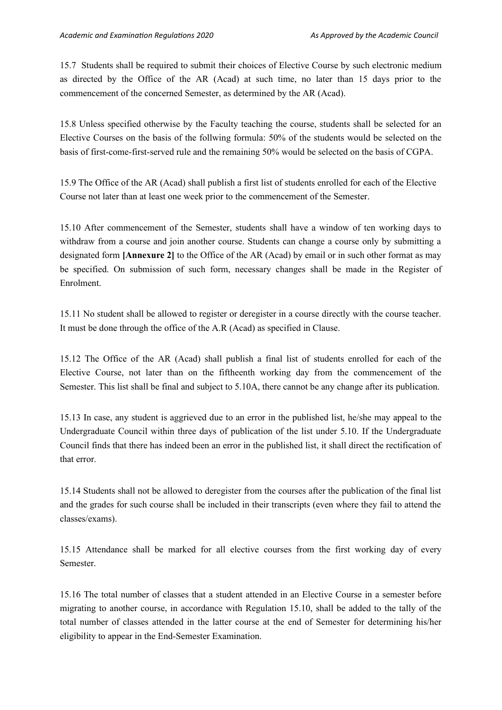15.7 Students shall be required to submit their choices of Elective Course by such electronic medium as directed by the Office of the AR (Acad) at such time, no later than 15 days prior to the commencement of the concerned Semester, as determined by the AR (Acad).

15.8 Unless specified otherwise by the Faculty teaching the course, students shall be selected for an Elective Courses on the basis of the follwing formula: 50% of the students would be selected on the basis of first-come-first-served rule and the remaining 50% would be selected on the basis of CGPA.

15.9 The Office of the AR (Acad) shall publish a first list of students enrolled for each of the Elective Course not later than at least one week prior to the commencement of the Semester.

15.10 After commencement of the Semester, students shall have a window of ten working days to withdraw from a course and join another course. Students can change a course only by submitting a designated form **[Annexure 2]** to the Office of the AR (Acad) by email or in such other format as may be specified. On submission of such form, necessary changes shall be made in the Register of Enrolment.

15.11 No student shall be allowed to register or deregister in a course directly with the course teacher. It must be done through the office of the A.R (Acad) as specified in Clause.

15.12 The Office of the AR (Acad) shall publish a final list of students enrolled for each of the Elective Course, not later than on the fiftheenth working day from the commencement of the Semester. This list shall be final and subject to 5.10A, there cannot be any change after its publication.

15.13 In case, any student is aggrieved due to an error in the published list, he/she may appeal to the Undergraduate Council within three days of publication of the list under 5.10. If the Undergraduate Council finds that there has indeed been an error in the published list, it shall direct the rectification of that error.

15.14 Students shall not be allowed to deregister from the courses after the publication of the final list and the grades for such course shall be included in their transcripts (even where they fail to attend the classes/exams).

15.15 Attendance shall be marked for all elective courses from the first working day of every Semester.

15.16 The total number of classes that a student attended in an Elective Course in a semester before migrating to another course, in accordance with Regulation 15.10, shall be added to the tally of the total number of classes attended in the latter course at the end of Semester for determining his/her eligibility to appear in the End-Semester Examination.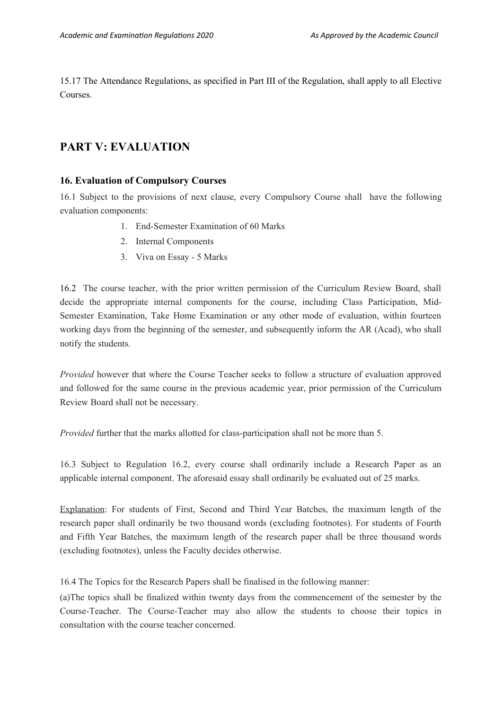15.17 The Attendance Regulations, as specified in Part III of the Regulation, shall apply to all Elective Courses.

## **PART V: EVALUATION**

### **16. Evaluation of Compulsory Courses**

16.1 Subject to the provisions of next clause, every Compulsory Course shall have the following evaluation components:

- 1. End-Semester Examination of 60 Marks
- 2. Internal Components
- 3. Viva on Essay 5 Marks

16.2 The course teacher, with the prior written permission of the Curriculum Review Board, shall decide the appropriate internal components for the course, including Class Participation, Mid-Semester Examination, Take Home Examination or any other mode of evaluation, within fourteen working days from the beginning of the semester, and subsequently inform the AR (Acad), who shall notify the students.

*Provided* however that where the Course Teacher seeks to follow a structure of evaluation approved and followed for the same course in the previous academic year, prior permission of the Curriculum Review Board shall not be necessary.

*Provided* further that the marks allotted for class-participation shall not be more than 5.

16.3 Subject to Regulation 16.2, every course shall ordinarily include a Research Paper as an applicable internal component. The aforesaid essay shall ordinarily be evaluated out of 25 marks.

Explanation: For students of First, Second and Third Year Batches, the maximum length of the research paper shall ordinarily be two thousand words (excluding footnotes). For students of Fourth and Fifth Year Batches, the maximum length of the research paper shall be three thousand words (excluding footnotes), unless the Faculty decides otherwise.

16.4 The Topics for the Research Papers shall be finalised in the following manner:

(a)The topics shall be finalized within twenty days from the commencement of the semester by the Course-Teacher. The Course-Teacher may also allow the students to choose their topics in consultation with the course teacher concerned.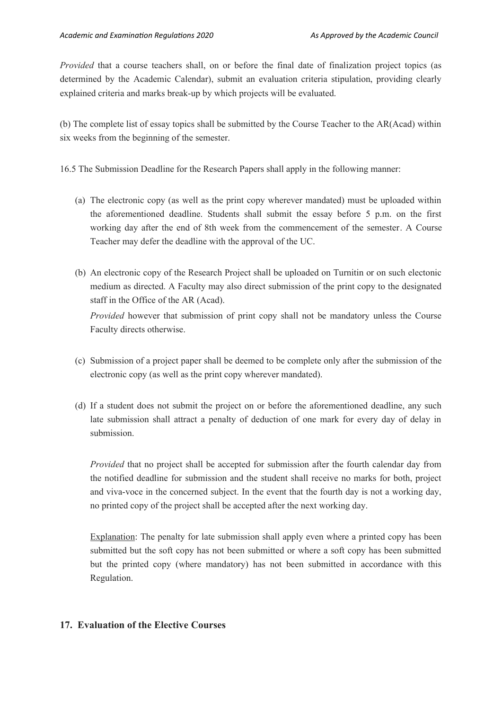*Provided* that a course teachers shall, on or before the final date of finalization project topics (as determined by the Academic Calendar), submit an evaluation criteria stipulation, providing clearly explained criteria and marks break-up by which projects will be evaluated.

(b) The complete list of essay topics shall be submitted by the Course Teacher to the AR(Acad) within six weeks from the beginning of the semester.

16.5 The Submission Deadline for the Research Papers shall apply in the following manner:

- (a) The electronic copy (as well as the print copy wherever mandated) must be uploaded within the aforementioned deadline. Students shall submit the essay before 5 p.m. on the first working day after the end of 8th week from the commencement of the semester. A Course Teacher may defer the deadline with the approval of the UC.
- (b) An electronic copy of the Research Project shall be uploaded on Turnitin or on such electonic medium as directed. A Faculty may also direct submission of the print copy to the designated staff in the Office of the AR (Acad). *Provided* however that submission of print copy shall not be mandatory unless the Course

Faculty directs otherwise.

- (c) Submission of a project paper shall be deemed to be complete only after the submission of the electronic copy (as well as the print copy wherever mandated).
- (d) If a student does not submit the project on or before the aforementioned deadline, any such late submission shall attract a penalty of deduction of one mark for every day of delay in submission.

*Provided* that no project shall be accepted for submission after the fourth calendar day from the notified deadline for submission and the student shall receive no marks for both, project and viva-voce in the concerned subject. In the event that the fourth day is not a working day, no printed copy of the project shall be accepted after the next working day.

Explanation: The penalty for late submission shall apply even where a printed copy has been submitted but the soft copy has not been submitted or where a soft copy has been submitted but the printed copy (where mandatory) has not been submitted in accordance with this Regulation.

## **17. Evaluation of the Elective Courses**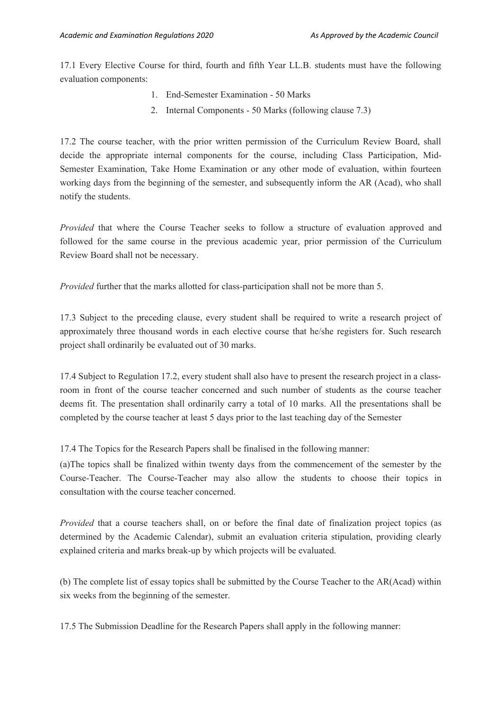17.1 Every Elective Course for third, fourth and fifth Year LL.B. students must have the following evaluation components:

- 1. End-Semester Examination 50 Marks
- 2. Internal Components 50 Marks (following clause 7.3)

17.2 The course teacher, with the prior written permission of the Curriculum Review Board, shall decide the appropriate internal components for the course, including Class Participation, Mid-Semester Examination, Take Home Examination or any other mode of evaluation, within fourteen working days from the beginning of the semester, and subsequently inform the AR (Acad), who shall notify the students.

*Provided* that where the Course Teacher seeks to follow a structure of evaluation approved and followed for the same course in the previous academic year, prior permission of the Curriculum Review Board shall not be necessary.

*Provided* further that the marks allotted for class-participation shall not be more than 5.

17.3 Subject to the preceding clause, every student shall be required to write a research project of approximately three thousand words in each elective course that he/she registers for. Such research project shall ordinarily be evaluated out of 30 marks.

17.4 Subject to Regulation 17.2, every student shall also have to present the research project in a classroom in front of the course teacher concerned and such number of students as the course teacher deems fit. The presentation shall ordinarily carry a total of 10 marks. All the presentations shall be completed by the course teacher at least 5 days prior to the last teaching day of the Semester

17.4 The Topics for the Research Papers shall be finalised in the following manner:

(a)The topics shall be finalized within twenty days from the commencement of the semester by the Course-Teacher. The Course-Teacher may also allow the students to choose their topics in consultation with the course teacher concerned.

*Provided* that a course teachers shall, on or before the final date of finalization project topics (as determined by the Academic Calendar), submit an evaluation criteria stipulation, providing clearly explained criteria and marks break-up by which projects will be evaluated.

(b) The complete list of essay topics shall be submitted by the Course Teacher to the AR(Acad) within six weeks from the beginning of the semester.

17.5 The Submission Deadline for the Research Papers shall apply in the following manner: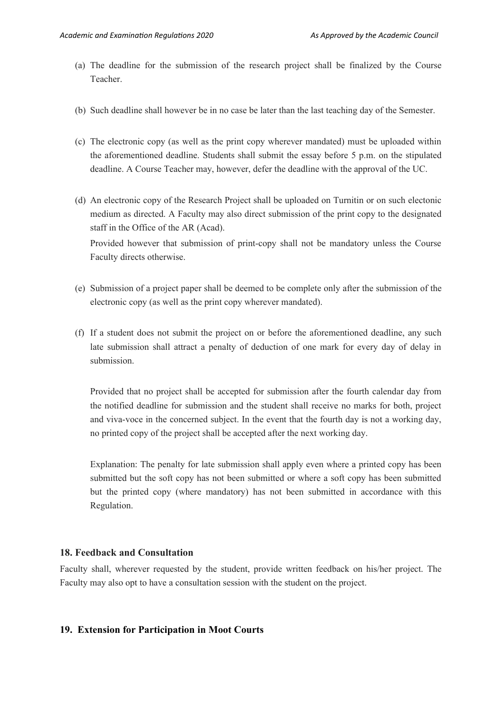- (a) The deadline for the submission of the research project shall be finalized by the Course Teacher.
- (b) Such deadline shall however be in no case be later than the last teaching day of the Semester.
- (c) The electronic copy (as well as the print copy wherever mandated) must be uploaded within the aforementioned deadline. Students shall submit the essay before 5 p.m. on the stipulated deadline. A Course Teacher may, however, defer the deadline with the approval of the UC.
- (d) An electronic copy of the Research Project shall be uploaded on Turnitin or on such electonic medium as directed. A Faculty may also direct submission of the print copy to the designated staff in the Office of the AR (Acad).

Provided however that submission of print-copy shall not be mandatory unless the Course Faculty directs otherwise.

- (e) Submission of a project paper shall be deemed to be complete only after the submission of the electronic copy (as well as the print copy wherever mandated).
- (f) If a student does not submit the project on or before the aforementioned deadline, any such late submission shall attract a penalty of deduction of one mark for every day of delay in submission.

Provided that no project shall be accepted for submission after the fourth calendar day from the notified deadline for submission and the student shall receive no marks for both, project and viva-voce in the concerned subject. In the event that the fourth day is not a working day, no printed copy of the project shall be accepted after the next working day.

Explanation: The penalty for late submission shall apply even where a printed copy has been submitted but the soft copy has not been submitted or where a soft copy has been submitted but the printed copy (where mandatory) has not been submitted in accordance with this Regulation.

#### **18. Feedback and Consultation**

Faculty shall, wherever requested by the student, provide written feedback on his/her project. The Faculty may also opt to have a consultation session with the student on the project.

#### **19. Extension for Participation in Moot Courts**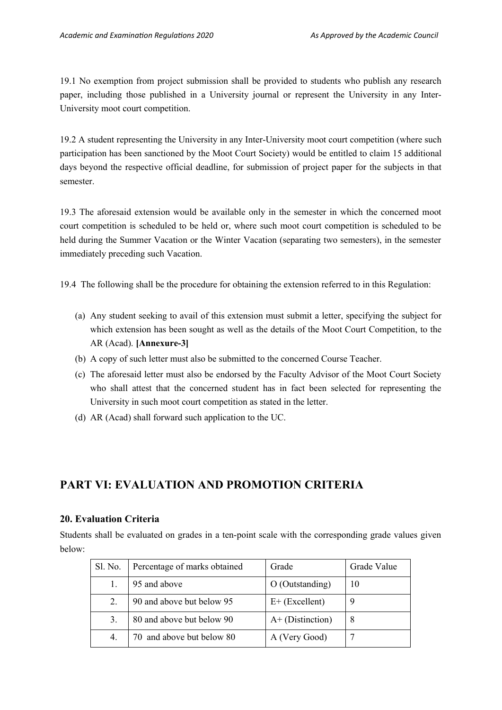19.1 No exemption from project submission shall be provided to students who publish any research paper, including those published in a University journal or represent the University in any Inter-University moot court competition.

19.2 A student representing the University in any Inter-University moot court competition (where such participation has been sanctioned by the Moot Court Society) would be entitled to claim 15 additional days beyond the respective official deadline, for submission of project paper for the subjects in that semester.

19.3 The aforesaid extension would be available only in the semester in which the concerned moot court competition is scheduled to be held or, where such moot court competition is scheduled to be held during the Summer Vacation or the Winter Vacation (separating two semesters), in the semester immediately preceding such Vacation.

19.4 The following shall be the procedure for obtaining the extension referred to in this Regulation:

- (a) Any student seeking to avail of this extension must submit a letter, specifying the subject for which extension has been sought as well as the details of the Moot Court Competition, to the AR (Acad). **[Annexure-3]**
- (b) A copy of such letter must also be submitted to the concerned Course Teacher.
- (c) The aforesaid letter must also be endorsed by the Faculty Advisor of the Moot Court Society who shall attest that the concerned student has in fact been selected for representing the University in such moot court competition as stated in the letter.
- (d) AR (Acad) shall forward such application to the UC.

## **PART VI: EVALUATION AND PROMOTION CRITERIA**

## **20. Evaluation Criteria**

Students shall be evaluated on grades in a ten-point scale with the corresponding grade values given below:

| Sl. No. | Percentage of marks obtained | Grade              | Grade Value |
|---------|------------------------------|--------------------|-------------|
|         | 95 and above                 | O (Outstanding)    | 10          |
| 2.      | 90 and above but below 95    | $E+$ (Excellent)   |             |
| 3.      | 80 and above but below 90    | $A+$ (Distinction) | 8           |
| 4.      | 70 and above but below 80    | A (Very Good)      |             |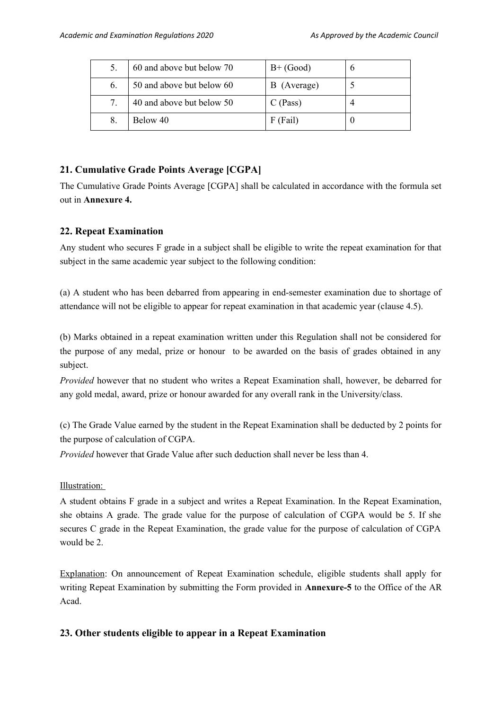|    | 60 and above but below 70 | $B+$ (Good) |  |
|----|---------------------------|-------------|--|
| 6. | 50 and above but below 60 | B (Average) |  |
| 7. | 40 and above but below 50 | $C$ (Pass)  |  |
|    | Below 40                  | $F$ (Fail)  |  |

## **21. Cumulative Grade Points Average [CGPA]**

The Cumulative Grade Points Average [CGPA] shall be calculated in accordance with the formula set out in **Annexure 4.**

## **22. Repeat Examination**

Any student who secures F grade in a subject shall be eligible to write the repeat examination for that subject in the same academic year subject to the following condition:

(a) A student who has been debarred from appearing in end-semester examination due to shortage of attendance will not be eligible to appear for repeat examination in that academic year (clause 4.5).

(b) Marks obtained in a repeat examination written under this Regulation shall not be considered for the purpose of any medal, prize or honour to be awarded on the basis of grades obtained in any subject.

*Provided* however that no student who writes a Repeat Examination shall, however, be debarred for any gold medal, award, prize or honour awarded for any overall rank in the University/class.

(c) The Grade Value earned by the student in the Repeat Examination shall be deducted by 2 points for the purpose of calculation of CGPA.

*Provided* however that Grade Value after such deduction shall never be less than 4.

## Illustration:

A student obtains F grade in a subject and writes a Repeat Examination. In the Repeat Examination, she obtains A grade. The grade value for the purpose of calculation of CGPA would be 5. If she secures C grade in the Repeat Examination, the grade value for the purpose of calculation of CGPA would be 2.

Explanation: On announcement of Repeat Examination schedule, eligible students shall apply for writing Repeat Examination by submitting the Form provided in **Annexure-5** to the Office of the AR Acad.

## **23. Other students eligible to appear in a Repeat Examination**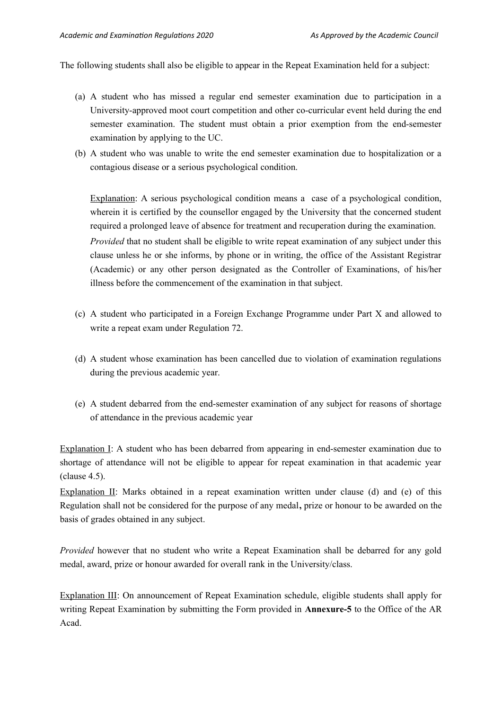The following students shall also be eligible to appear in the Repeat Examination held for a subject:

- (a) A student who has missed a regular end semester examination due to participation in a University-approved moot court competition and other co-curricular event held during the end semester examination. The student must obtain a prior exemption from the end-semester examination by applying to the UC.
- (b) A student who was unable to write the end semester examination due to hospitalization or a contagious disease or a serious psychological condition.

Explanation: A serious psychological condition means a case of a psychological condition, wherein it is certified by the counsellor engaged by the University that the concerned student required a prolonged leave of absence for treatment and recuperation during the examination. *Provided* that no student shall be eligible to write repeat examination of any subject under this clause unless he or she informs, by phone or in writing, the office of the Assistant Registrar (Academic) or any other person designated as the Controller of Examinations, of his/her illness before the commencement of the examination in that subject.

- (c) A student who participated in a Foreign Exchange Programme under Part X and allowed to write a repeat exam under Regulation 72.
- (d) A student whose examination has been cancelled due to violation of examination regulations during the previous academic year.
- (e) A student debarred from the end-semester examination of any subject for reasons of shortage of attendance in the previous academic year

Explanation I: A student who has been debarred from appearing in end-semester examination due to shortage of attendance will not be eligible to appear for repeat examination in that academic year (clause 4.5).

Explanation II: Marks obtained in a repeat examination written under clause (d) and (e) of this Regulation shall not be considered for the purpose of any medal**,** prize or honour to be awarded on the basis of grades obtained in any subject.

*Provided* however that no student who write a Repeat Examination shall be debarred for any gold medal, award, prize or honour awarded for overall rank in the University/class.

Explanation III: On announcement of Repeat Examination schedule, eligible students shall apply for writing Repeat Examination by submitting the Form provided in **Annexure-5** to the Office of the AR Acad.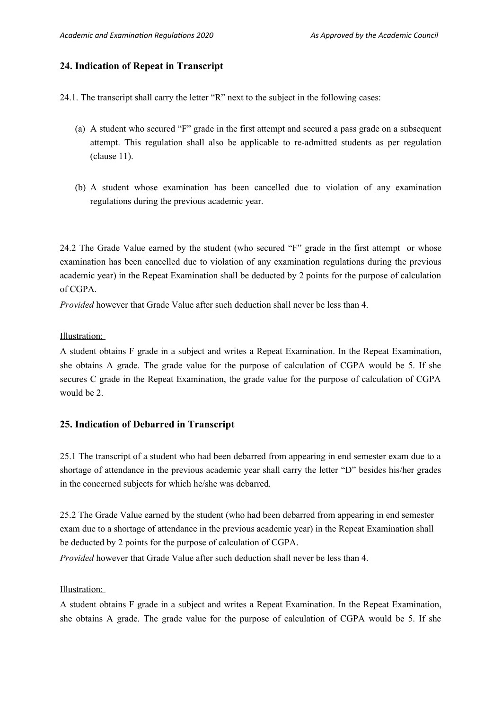#### **24. Indication of Repeat in Transcript**

24.1. The transcript shall carry the letter "R" next to the subject in the following cases:

- (a) A student who secured "F" grade in the first attempt and secured a pass grade on a subsequent attempt. This regulation shall also be applicable to re-admitted students as per regulation (clause 11).
- (b) A student whose examination has been cancelled due to violation of any examination regulations during the previous academic year.

24.2 The Grade Value earned by the student (who secured "F" grade in the first attempt or whose examination has been cancelled due to violation of any examination regulations during the previous academic year) in the Repeat Examination shall be deducted by 2 points for the purpose of calculation of CGPA.

*Provided* however that Grade Value after such deduction shall never be less than 4.

Illustration:

A student obtains F grade in a subject and writes a Repeat Examination. In the Repeat Examination, she obtains A grade. The grade value for the purpose of calculation of CGPA would be 5. If she secures C grade in the Repeat Examination, the grade value for the purpose of calculation of CGPA would be 2.

#### **25. Indication of Debarred in Transcript**

25.1 The transcript of a student who had been debarred from appearing in end semester exam due to a shortage of attendance in the previous academic year shall carry the letter "D" besides his/her grades in the concerned subjects for which he/she was debarred.

25.2 The Grade Value earned by the student (who had been debarred from appearing in end semester exam due to a shortage of attendance in the previous academic year) in the Repeat Examination shall be deducted by 2 points for the purpose of calculation of CGPA.

*Provided* however that Grade Value after such deduction shall never be less than 4.

#### Illustration:

A student obtains F grade in a subject and writes a Repeat Examination. In the Repeat Examination, she obtains A grade. The grade value for the purpose of calculation of CGPA would be 5. If she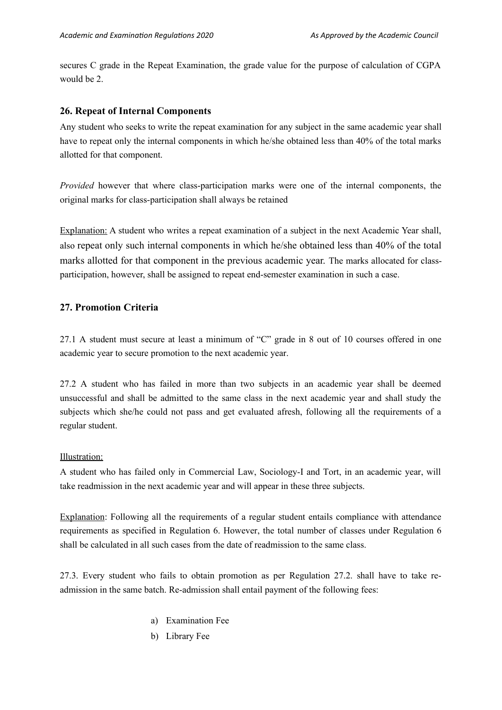secures C grade in the Repeat Examination, the grade value for the purpose of calculation of CGPA would be 2.

#### **26. Repeat of Internal Components**

Any student who seeks to write the repeat examination for any subject in the same academic year shall have to repeat only the internal components in which he/she obtained less than 40% of the total marks allotted for that component.

*Provided* however that where class-participation marks were one of the internal components, the original marks for class-participation shall always be retained

Explanation: A student who writes a repeat examination of a subject in the next Academic Year shall, also repeat only such internal components in which he/she obtained less than 40% of the total marks allotted for that component in the previous academic year. The marks allocated for classparticipation, however, shall be assigned to repeat end-semester examination in such a case.

### **27. Promotion Criteria**

27.1 A student must secure at least a minimum of "C" grade in 8 out of 10 courses offered in one academic year to secure promotion to the next academic year.

27.2 A student who has failed in more than two subjects in an academic year shall be deemed unsuccessful and shall be admitted to the same class in the next academic year and shall study the subjects which she/he could not pass and get evaluated afresh, following all the requirements of a regular student.

#### Illustration:

A student who has failed only in Commercial Law, Sociology-I and Tort, in an academic year, will take readmission in the next academic year and will appear in these three subjects.

Explanation: Following all the requirements of a regular student entails compliance with attendance requirements as specified in Regulation 6. However, the total number of classes under Regulation 6 shall be calculated in all such cases from the date of readmission to the same class.

27.3. Every student who fails to obtain promotion as per Regulation 27.2. shall have to take readmission in the same batch. Re-admission shall entail payment of the following fees:

- a) Examination Fee
- b) Library Fee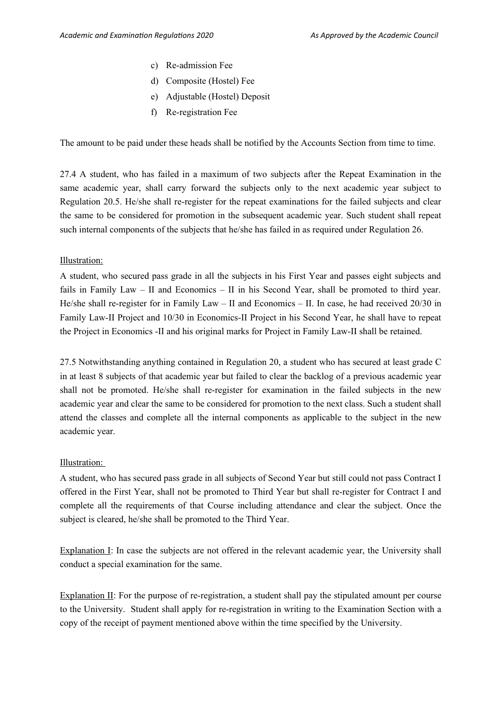- c) Re-admission Fee
- d) Composite (Hostel) Fee
- e) Adjustable (Hostel) Deposit
- f) Re-registration Fee

The amount to be paid under these heads shall be notified by the Accounts Section from time to time.

27.4 A student, who has failed in a maximum of two subjects after the Repeat Examination in the same academic year, shall carry forward the subjects only to the next academic year subject to Regulation 20.5. He/she shall re-register for the repeat examinations for the failed subjects and clear the same to be considered for promotion in the subsequent academic year. Such student shall repeat such internal components of the subjects that he/she has failed in as required under Regulation 26.

#### Illustration:

A student, who secured pass grade in all the subjects in his First Year and passes eight subjects and fails in Family Law – II and Economics – II in his Second Year, shall be promoted to third year. He/she shall re-register for in Family Law – II and Economics – II. In case, he had received 20/30 in Family Law-II Project and 10/30 in Economics-II Project in his Second Year, he shall have to repeat the Project in Economics -II and his original marks for Project in Family Law-II shall be retained.

27.5 Notwithstanding anything contained in Regulation 20, a student who has secured at least grade C in at least 8 subjects of that academic year but failed to clear the backlog of a previous academic year shall not be promoted. He/she shall re-register for examination in the failed subjects in the new academic year and clear the same to be considered for promotion to the next class. Such a student shall attend the classes and complete all the internal components as applicable to the subject in the new academic year.

#### Illustration:

A student, who has secured pass grade in all subjects of Second Year but still could not pass Contract I offered in the First Year, shall not be promoted to Third Year but shall re-register for Contract I and complete all the requirements of that Course including attendance and clear the subject. Once the subject is cleared, he/she shall be promoted to the Third Year.

Explanation I: In case the subjects are not offered in the relevant academic year, the University shall conduct a special examination for the same.

Explanation II: For the purpose of re-registration, a student shall pay the stipulated amount per course to the University. Student shall apply for re-registration in writing to the Examination Section with a copy of the receipt of payment mentioned above within the time specified by the University.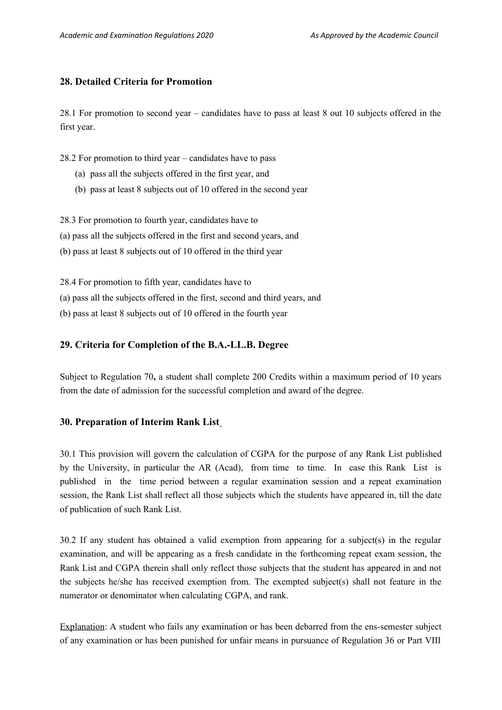### **28. Detailed Criteria for Promotion**

28.1 For promotion to second year – candidates have to pass at least 8 out 10 subjects offered in the first year.

28.2 For promotion to third year – candidates have to pass

- (a) pass all the subjects offered in the first year, and
- (b) pass at least 8 subjects out of 10 offered in the second year

28.3 For promotion to fourth year, candidates have to

- (a) pass all the subjects offered in the first and second years, and
- (b) pass at least 8 subjects out of 10 offered in the third year

28.4 For promotion to fifth year, candidates have to

(a) pass all the subjects offered in the first, second and third years, and

(b) pass at least 8 subjects out of 10 offered in the fourth year

#### **29. Criteria for Completion of the B.A.-LL.B. Degree**

Subject to Regulation 70**,** a student shall complete 200 Credits within a maximum period of 10 years from the date of admission for the successful completion and award of the degree.

#### **30. Preparation of Interim Rank List**

30.1 This provision will govern the calculation of CGPA for the purpose of any Rank List published by the University, in particular the AR (Acad), from time to time. In case this Rank List is published in the time period between a regular examination session and a repeat examination session, the Rank List shall reflect all those subjects which the students have appeared in, till the date of publication of such Rank List.

 $30.2$  If any student has obtained a valid exemption from appearing for a subject(s) in the regular examination, and will be appearing as a fresh candidate in the forthcoming repeat exam session, the Rank List and CGPA therein shall only reflect those subjects that the student has appeared in and not the subjects he/she has received exemption from. The exempted subject(s) shall not feature in the numerator or denominator when calculating CGPA, and rank.

Explanation: A student who fails any examination or has been debarred from the ens-semester subject of any examination or has been punished for unfair means in pursuance of Regulation 36 or Part VIII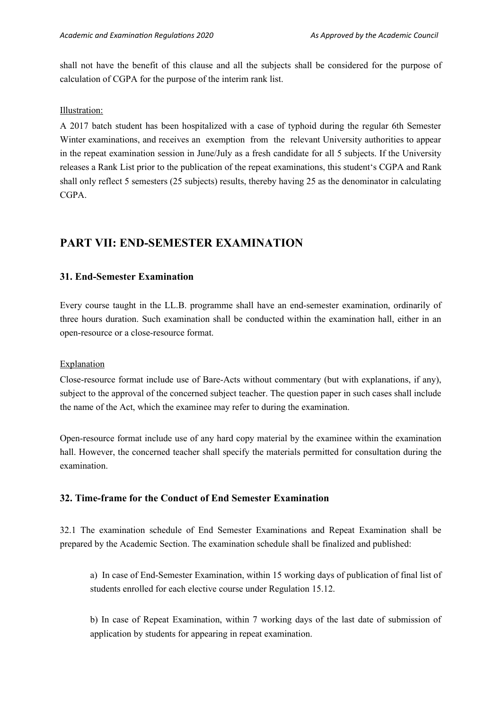shall not have the benefit of this clause and all the subjects shall be considered for the purpose of calculation of CGPA for the purpose of the interim rank list.

#### Illustration:

A 2017 batch student has been hospitalized with a case of typhoid during the regular 6th Semester Winter examinations, and receives an exemption from the relevant University authorities to appear in the repeat examination session in June/July as a fresh candidate for all 5 subjects. If the University releases a Rank List prior to the publication of the repeat examinations, this student's CGPA and Rank shall only reflect 5 semesters (25 subjects) results, thereby having 25 as the denominator in calculating CGPA.

## **PART VII: END-SEMESTER EXAMINATION**

## **31. End-Semester Examination**

Every course taught in the LL.B. programme shall have an end-semester examination, ordinarily of three hours duration. Such examination shall be conducted within the examination hall, either in an open-resource or a close-resource format.

#### **Explanation**

Close-resource format include use of Bare-Acts without commentary (but with explanations, if any), subject to the approval of the concerned subject teacher. The question paper in such cases shall include the name of the Act, which the examinee may refer to during the examination.

Open-resource format include use of any hard copy material by the examinee within the examination hall. However, the concerned teacher shall specify the materials permitted for consultation during the examination.

## **32. Time-frame for the Conduct of End Semester Examination**

32.1 The examination schedule of End Semester Examinations and Repeat Examination shall be prepared by the Academic Section. The examination schedule shall be finalized and published:

a) In case of End-Semester Examination, within 15 working days of publication of final list of students enrolled for each elective course under Regulation 15.12.

b) In case of Repeat Examination, within 7 working days of the last date of submission of application by students for appearing in repeat examination.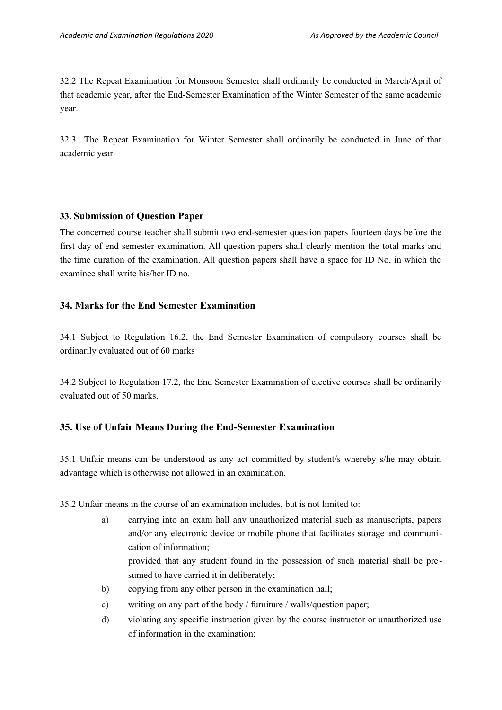32.2 The Repeat Examination for Monsoon Semester shall ordinarily be conducted in March/April of that academic year, after the End-Semester Examination of the Winter Semester of the same academic year.

32.3 The Repeat Examination for Winter Semester shall ordinarily be conducted in June of that academic year.

### **33. Submission of Question Paper**

The concerned course teacher shall submit two end-semester question papers fourteen days before the first day of end semester examination. All question papers shall clearly mention the total marks and the time duration of the examination. All question papers shall have a space for ID No, in which the examinee shall write his/her ID no.

## **34. Marks for the End Semester Examination**

34.1 Subject to Regulation 16.2, the End Semester Examination of compulsory courses shall be ordinarily evaluated out of 60 marks

34.2 Subject to Regulation 17.2, the End Semester Examination of elective courses shall be ordinarily evaluated out of 50 marks.

## **35. Use of Unfair Means During the End-Semester Examination**

35.1 Unfair means can be understood as any act committed by student/s whereby s/he may obtain advantage which is otherwise not allowed in an examination.

35.2 Unfair means in the course of an examination includes, but is not limited to:

- a) carrying into an exam hall any unauthorized material such as manuscripts, papers and/or any electronic device or mobile phone that facilitates storage and communication of information; provided that any student found in the possession of such material shall be presumed to have carried it in deliberately;
- b) copying from any other person in the examination hall;
- c) writing on any part of the body / furniture / walls/question paper;
- d) violating any specific instruction given by the course instructor or unauthorized use of information in the examination;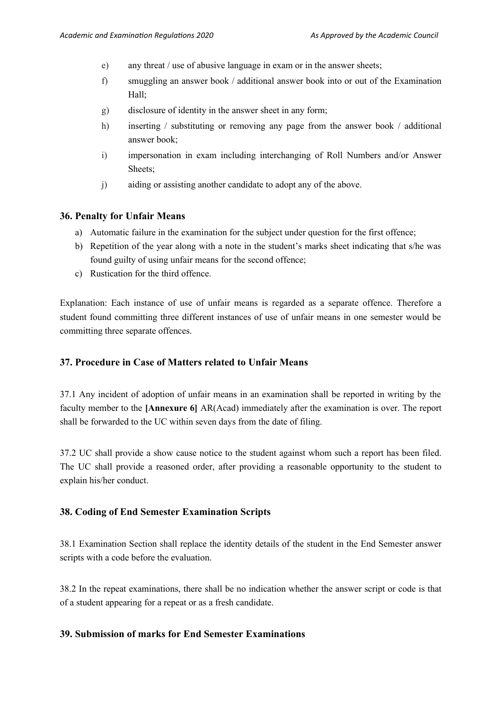- e) any threat / use of abusive language in exam or in the answer sheets;
- f) smuggling an answer book / additional answer book into or out of the Examination Hall;
- g) disclosure of identity in the answer sheet in any form;
- h) inserting / substituting or removing any page from the answer book / additional answer book;
- i) impersonation in exam including interchanging of Roll Numbers and/or Answer Sheets;
- j) aiding or assisting another candidate to adopt any of the above.

#### **36. Penalty for Unfair Means**

- a) Automatic failure in the examination for the subject under question for the first offence;
- b) Repetition of the year along with a note in the student's marks sheet indicating that s/he was found guilty of using unfair means for the second offence;
- c) Rustication for the third offence.

Explanation: Each instance of use of unfair means is regarded as a separate offence. Therefore a student found committing three different instances of use of unfair means in one semester would be committing three separate offences.

#### **37. Procedure in Case of Matters related to Unfair Means**

37.1 Any incident of adoption of unfair means in an examination shall be reported in writing by the faculty member to the **[Annexure 6]** AR(Acad) immediately after the examination is over. The report shall be forwarded to the UC within seven days from the date of filing.

37.2 UC shall provide a show cause notice to the student against whom such a report has been filed. The UC shall provide a reasoned order, after providing a reasonable opportunity to the student to explain his/her conduct.

#### **38. Coding of End Semester Examination Scripts**

38.1 Examination Section shall replace the identity details of the student in the End Semester answer scripts with a code before the evaluation.

38.2 In the repeat examinations, there shall be no indication whether the answer script or code is that of a student appearing for a repeat or as a fresh candidate.

### **39. Submission of marks for End Semester Examinations**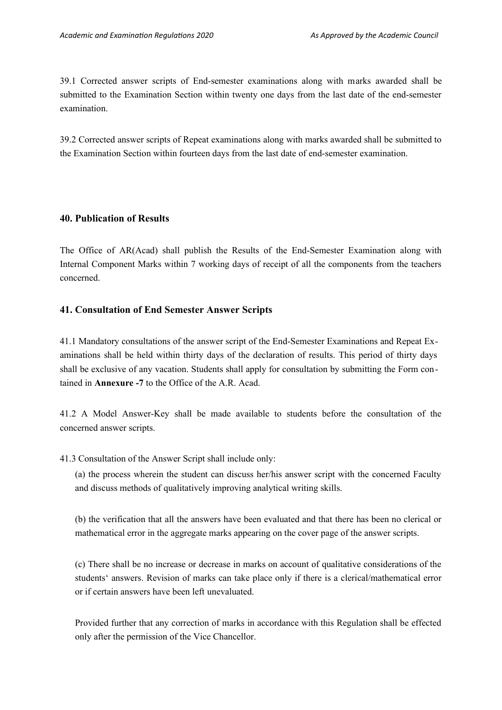39.1 Corrected answer scripts of End-semester examinations along with marks awarded shall be submitted to the Examination Section within twenty one days from the last date of the end-semester examination.

39.2 Corrected answer scripts of Repeat examinations along with marks awarded shall be submitted to the Examination Section within fourteen days from the last date of end-semester examination.

#### **40. Publication of Results**

The Office of AR(Acad) shall publish the Results of the End-Semester Examination along with Internal Component Marks within 7 working days of receipt of all the components from the teachers concerned.

### **41. Consultation of End Semester Answer Scripts**

41.1 Mandatory consultations of the answer script of the End-Semester Examinations and Repeat Examinations shall be held within thirty days of the declaration of results. This period of thirty days shall be exclusive of any vacation. Students shall apply for consultation by submitting the Form contained in **Annexure -7** to the Office of the A.R. Acad.

41.2 A Model Answer-Key shall be made available to students before the consultation of the concerned answer scripts.

41.3 Consultation of the Answer Script shall include only:

(a) the process wherein the student can discuss her/his answer script with the concerned Faculty and discuss methods of qualitatively improving analytical writing skills.

(b) the verification that all the answers have been evaluated and that there has been no clerical or mathematical error in the aggregate marks appearing on the cover page of the answer scripts.

(c) There shall be no increase or decrease in marks on account of qualitative considerations of the students' answers. Revision of marks can take place only if there is a clerical/mathematical error or if certain answers have been left unevaluated.

Provided further that any correction of marks in accordance with this Regulation shall be effected only after the permission of the Vice Chancellor.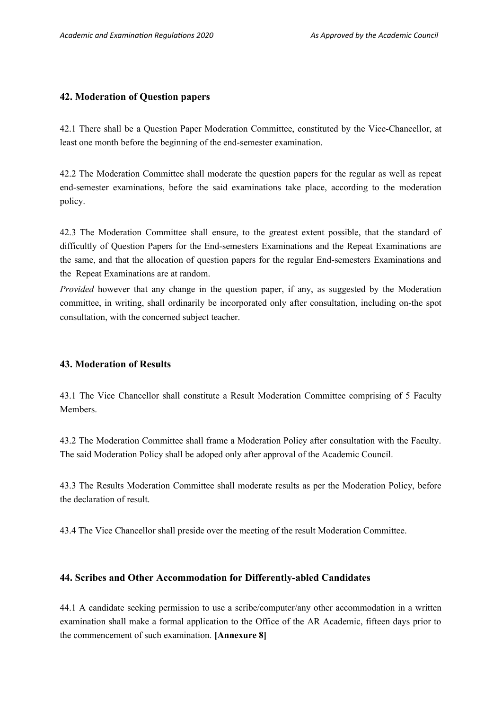## **42. Moderation of Question papers**

42.1 There shall be a Question Paper Moderation Committee, constituted by the Vice-Chancellor, at least one month before the beginning of the end-semester examination.

42.2 The Moderation Committee shall moderate the question papers for the regular as well as repeat end-semester examinations, before the said examinations take place, according to the moderation policy.

42.3 The Moderation Committee shall ensure, to the greatest extent possible, that the standard of difficultly of Question Papers for the End-semesters Examinations and the Repeat Examinations are the same, and that the allocation of question papers for the regular End-semesters Examinations and the Repeat Examinations are at random.

*Provided* however that any change in the question paper, if any, as suggested by the Moderation committee, in writing, shall ordinarily be incorporated only after consultation, including on-the spot consultation, with the concerned subject teacher.

## **43. Moderation of Results**

43.1 The Vice Chancellor shall constitute a Result Moderation Committee comprising of 5 Faculty Members.

43.2 The Moderation Committee shall frame a Moderation Policy after consultation with the Faculty. The said Moderation Policy shall be adoped only after approval of the Academic Council.

43.3 The Results Moderation Committee shall moderate results as per the Moderation Policy, before the declaration of result.

43.4 The Vice Chancellor shall preside over the meeting of the result Moderation Committee.

#### **44. Scribes and Other Accommodation for Differently-abled Candidates**

44.1 A candidate seeking permission to use a scribe/computer/any other accommodation in a written examination shall make a formal application to the Office of the AR Academic, fifteen days prior to the commencement of such examination. **[Annexure 8]**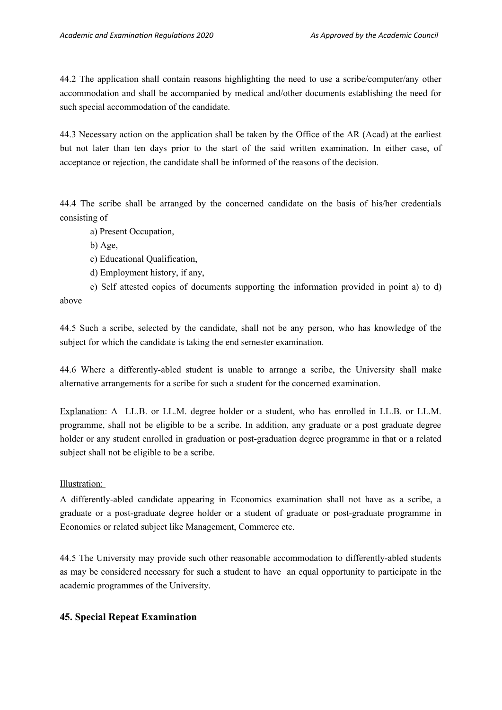44.2 The application shall contain reasons highlighting the need to use a scribe/computer/any other accommodation and shall be accompanied by medical and/other documents establishing the need for such special accommodation of the candidate.

44.3 Necessary action on the application shall be taken by the Office of the AR (Acad) at the earliest but not later than ten days prior to the start of the said written examination. In either case, of acceptance or rejection, the candidate shall be informed of the reasons of the decision.

44.4 The scribe shall be arranged by the concerned candidate on the basis of his/her credentials consisting of

- a) Present Occupation,
- b) Age,
- c) Educational Qualification,
- d) Employment history, if any,

e) Self attested copies of documents supporting the information provided in point a) to d) above

44.5 Such a scribe, selected by the candidate, shall not be any person, who has knowledge of the subject for which the candidate is taking the end semester examination.

44.6 Where a differently-abled student is unable to arrange a scribe, the University shall make alternative arrangements for a scribe for such a student for the concerned examination.

Explanation: A LL.B. or LL.M. degree holder or a student, who has enrolled in LL.B. or LL.M. programme, shall not be eligible to be a scribe. In addition, any graduate or a post graduate degree holder or any student enrolled in graduation or post-graduation degree programme in that or a related subject shall not be eligible to be a scribe.

Illustration:

A differently-abled candidate appearing in Economics examination shall not have as a scribe, a graduate or a post-graduate degree holder or a student of graduate or post-graduate programme in Economics or related subject like Management, Commerce etc.

44.5 The University may provide such other reasonable accommodation to differently-abled students as may be considered necessary for such a student to have an equal opportunity to participate in the academic programmes of the University.

## **45. Special Repeat Examination**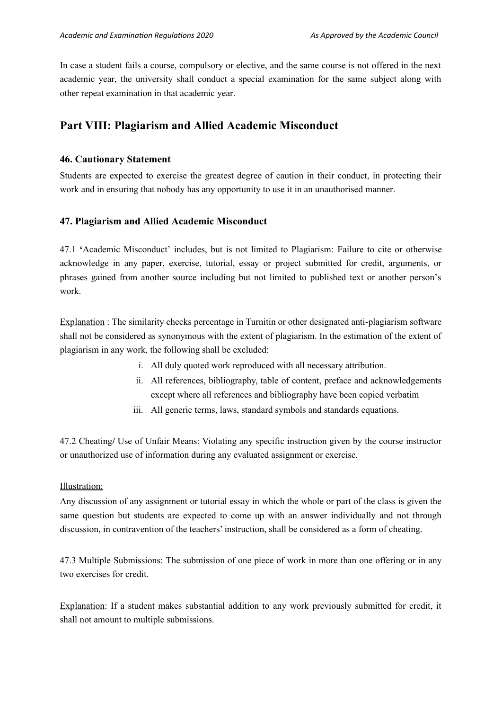In case a student fails a course, compulsory or elective, and the same course is not offered in the next academic year, the university shall conduct a special examination for the same subject along with other repeat examination in that academic year.

## **Part VIII: Plagiarism and Allied Academic Misconduct**

### **46. Cautionary Statement**

Students are expected to exercise the greatest degree of caution in their conduct, in protecting their work and in ensuring that nobody has any opportunity to use it in an unauthorised manner.

### **47. Plagiarism and Allied Academic Misconduct**

47.1 **'**Academic Misconduct' includes, but is not limited to Plagiarism: Failure to cite or otherwise acknowledge in any paper, exercise, tutorial, essay or project submitted for credit, arguments, or phrases gained from another source including but not limited to published text or another person's work.

Explanation : The similarity checks percentage in Turnitin or other designated anti-plagiarism software shall not be considered as synonymous with the extent of plagiarism. In the estimation of the extent of plagiarism in any work, the following shall be excluded:

- i. All duly quoted work reproduced with all necessary attribution.
- ii. All references, bibliography, table of content, preface and acknowledgements except where all references and bibliography have been copied verbatim
- iii. All generic terms, laws, standard symbols and standards equations.

47.2 Cheating**/** Use of Unfair Means: Violating any specific instruction given by the course instructor or unauthorized use of information during any evaluated assignment or exercise.

#### Illustration:

Any discussion of any assignment or tutorial essay in which the whole or part of the class is given the same question but students are expected to come up with an answer individually and not through discussion, in contravention of the teachers' instruction, shall be considered as a form of cheating.

47.3 Multiple Submissions: The submission of one piece of work in more than one offering or in any two exercises for credit.

Explanation: If a student makes substantial addition to any work previously submitted for credit, it shall not amount to multiple submissions.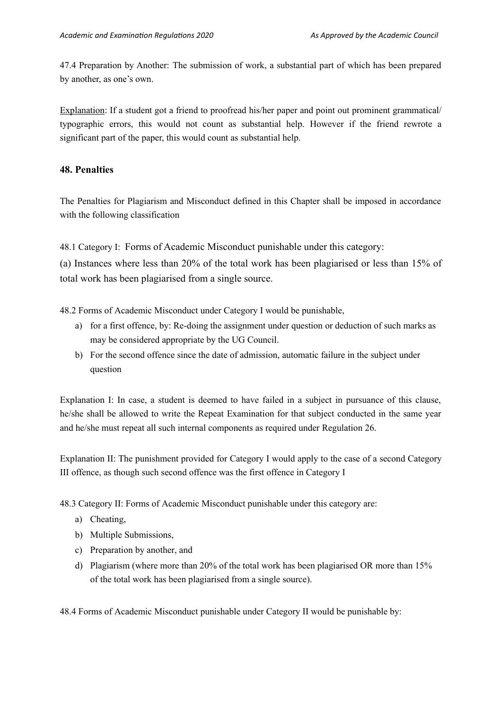47.4 Preparation by Another: The submission of work, a substantial part of which has been prepared by another, as one's own.

Explanation: If a student got a friend to proofread his/her paper and point out prominent grammatical/ typographic errors, this would not count as substantial help. However if the friend rewrote a significant part of the paper, this would count as substantial help.

## **48. Penalties**

The Penalties for Plagiarism and Misconduct defined in this Chapter shall be imposed in accordance with the following classification

48.1 Category I: Forms of Academic Misconduct punishable under this category:

(a) Instances where less than 20% of the total work has been plagiarised or less than 15% of total work has been plagiarised from a single source.

48.2 Forms of Academic Misconduct under Category I would be punishable,

- a) for a first offence, by: Re-doing the assignment under question or deduction of such marks as may be considered appropriate by the UG Council.
- b) For the second offence since the date of admission, automatic failure in the subject under question

Explanation I: In case, a student is deemed to have failed in a subject in pursuance of this clause, he/she shall be allowed to write the Repeat Examination for that subject conducted in the same year and he/she must repeat all such internal components as required under Regulation 26.

Explanation II: The punishment provided for Category I would apply to the case of a second Category III offence, as though such second offence was the first offence in Category I

48.3 Category II: Forms of Academic Misconduct punishable under this category are:

- a) Cheating,
- b) Multiple Submissions,
- c) Preparation by another, and
- d) Plagiarism (where more than 20% of the total work has been plagiarised OR more than 15% of the total work has been plagiarised from a single source).

48.4 Forms of Academic Misconduct punishable under Category II would be punishable by: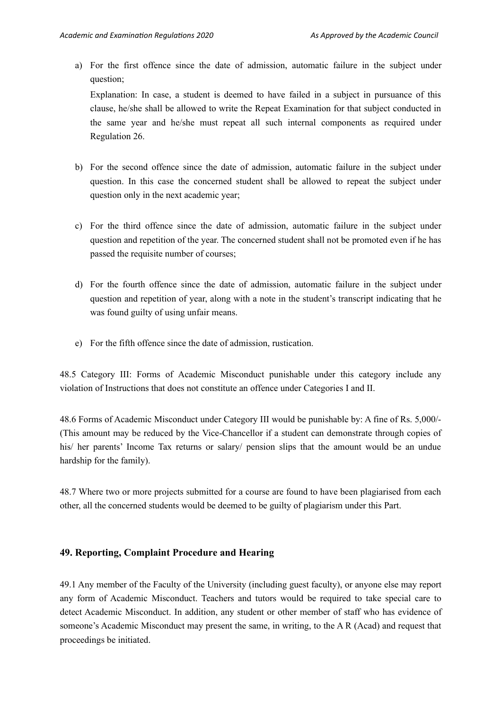a) For the first offence since the date of admission, automatic failure in the subject under question;

Explanation: In case, a student is deemed to have failed in a subject in pursuance of this clause, he/she shall be allowed to write the Repeat Examination for that subject conducted in the same year and he/she must repeat all such internal components as required under Regulation 26.

- b) For the second offence since the date of admission, automatic failure in the subject under question. In this case the concerned student shall be allowed to repeat the subject under question only in the next academic year;
- c) For the third offence since the date of admission, automatic failure in the subject under question and repetition of the year. The concerned student shall not be promoted even if he has passed the requisite number of courses;
- d) For the fourth offence since the date of admission, automatic failure in the subject under question and repetition of year, along with a note in the student's transcript indicating that he was found guilty of using unfair means.
- e) For the fifth offence since the date of admission, rustication.

48.5 Category III: Forms of Academic Misconduct punishable under this category include any violation of Instructions that does not constitute an offence under Categories I and II.

48.6 Forms of Academic Misconduct under Category III would be punishable by: A fine of Rs. 5,000/- (This amount may be reduced by the Vice-Chancellor if a student can demonstrate through copies of his/ her parents' Income Tax returns or salary/ pension slips that the amount would be an undue hardship for the family).

48.7 Where two or more projects submitted for a course are found to have been plagiarised from each other, all the concerned students would be deemed to be guilty of plagiarism under this Part.

#### **49. Reporting, Complaint Procedure and Hearing**

49.1 Any member of the Faculty of the University (including guest faculty), or anyone else may report any form of Academic Misconduct. Teachers and tutors would be required to take special care to detect Academic Misconduct. In addition, any student or other member of staff who has evidence of someone's Academic Misconduct may present the same, in writing, to the A R (Acad) and request that proceedings be initiated.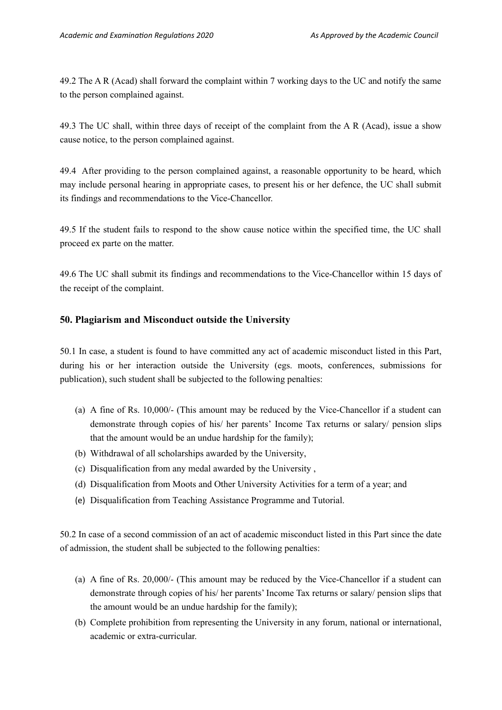49.2 The A R (Acad) shall forward the complaint within 7 working days to the UC and notify the same to the person complained against.

49.3 The UC shall, within three days of receipt of the complaint from the A R (Acad), issue a show cause notice, to the person complained against.

49.4 After providing to the person complained against, a reasonable opportunity to be heard, which may include personal hearing in appropriate cases, to present his or her defence, the UC shall submit its findings and recommendations to the Vice-Chancellor.

49.5 If the student fails to respond to the show cause notice within the specified time, the UC shall proceed ex parte on the matter.

49.6 The UC shall submit its findings and recommendations to the Vice-Chancellor within 15 days of the receipt of the complaint.

## **50. Plagiarism and Misconduct outside the University**

50.1 In case, a student is found to have committed any act of academic misconduct listed in this Part, during his or her interaction outside the University (egs. moots, conferences, submissions for publication), such student shall be subjected to the following penalties:

- (a) A fine of Rs. 10,000/- (This amount may be reduced by the Vice-Chancellor if a student can demonstrate through copies of his/ her parents' Income Tax returns or salary/ pension slips that the amount would be an undue hardship for the family);
- (b) Withdrawal of all scholarships awarded by the University,
- (c) Disqualification from any medal awarded by the University ,
- (d) Disqualification from Moots and Other University Activities for a term of a year; and
- (e) Disqualification from Teaching Assistance Programme and Tutorial.

50.2 In case of a second commission of an act of academic misconduct listed in this Part since the date of admission, the student shall be subjected to the following penalties:

- (a) A fine of Rs. 20,000/- (This amount may be reduced by the Vice-Chancellor if a student can demonstrate through copies of his/ her parents' Income Tax returns or salary/ pension slips that the amount would be an undue hardship for the family);
- (b) Complete prohibition from representing the University in any forum, national or international, academic or extra-curricular.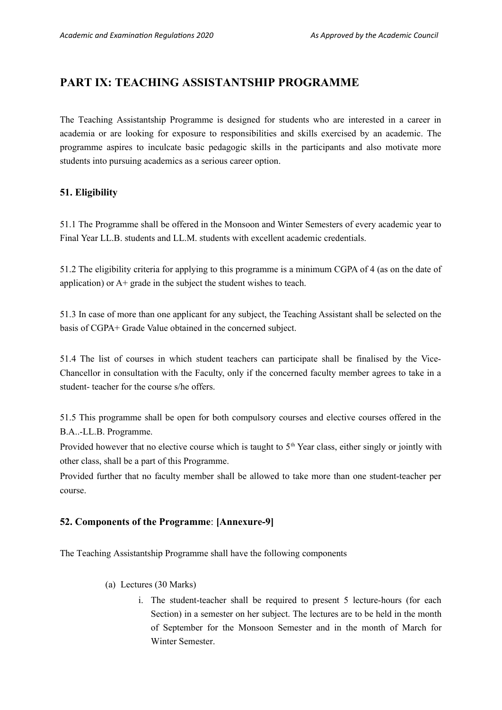## **PART IX: TEACHING ASSISTANTSHIP PROGRAMME**

The Teaching Assistantship Programme is designed for students who are interested in a career in academia or are looking for exposure to responsibilities and skills exercised by an academic. The programme aspires to inculcate basic pedagogic skills in the participants and also motivate more students into pursuing academics as a serious career option.

## **51. Eligibility**

51.1 The Programme shall be offered in the Monsoon and Winter Semesters of every academic year to Final Year LL.B. students and LL.M. students with excellent academic credentials.

51.2 The eligibility criteria for applying to this programme is a minimum CGPA of 4 (as on the date of application) or A+ grade in the subject the student wishes to teach.

51.3 In case of more than one applicant for any subject, the Teaching Assistant shall be selected on the basis of CGPA+ Grade Value obtained in the concerned subject.

51.4 The list of courses in which student teachers can participate shall be finalised by the Vice-Chancellor in consultation with the Faculty, only if the concerned faculty member agrees to take in a student- teacher for the course s/he offers.

51.5 This programme shall be open for both compulsory courses and elective courses offered in the B.A..-LL.B. Programme.

Provided however that no elective course which is taught to  $5<sup>th</sup>$  Year class, either singly or jointly with other class, shall be a part of this Programme.

Provided further that no faculty member shall be allowed to take more than one student-teacher per course.

## **52. Components of the Programme**: **[Annexure-9]**

The Teaching Assistantship Programme shall have the following components

- (a) Lectures (30 Marks)
	- i. The student-teacher shall be required to present 5 lecture-hours (for each Section) in a semester on her subject. The lectures are to be held in the month of September for the Monsoon Semester and in the month of March for Winter Semester.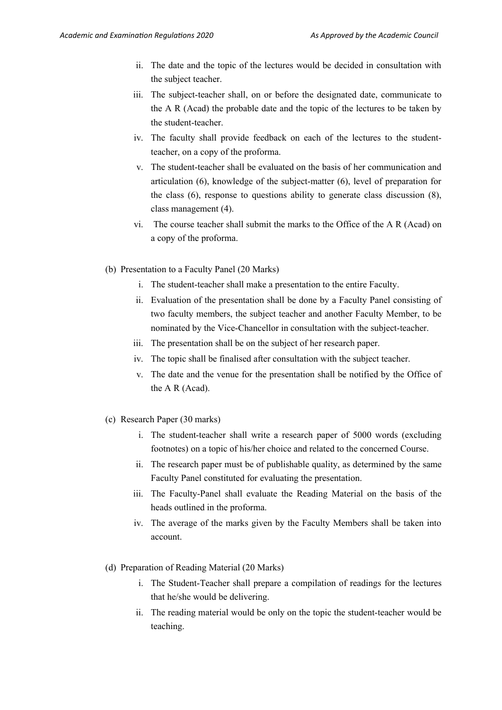- ii. The date and the topic of the lectures would be decided in consultation with the subject teacher.
- iii. The subject-teacher shall, on or before the designated date, communicate to the A R (Acad) the probable date and the topic of the lectures to be taken by the student-teacher.
- iv. The faculty shall provide feedback on each of the lectures to the studentteacher, on a copy of the proforma.
- v. The student-teacher shall be evaluated on the basis of her communication and articulation (6), knowledge of the subject-matter (6), level of preparation for the class (6), response to questions ability to generate class discussion (8), class management (4).
- vi. The course teacher shall submit the marks to the Office of the A R (Acad) on a copy of the proforma.
- (b) Presentation to a Faculty Panel (20 Marks)
	- i. The student-teacher shall make a presentation to the entire Faculty.
	- ii. Evaluation of the presentation shall be done by a Faculty Panel consisting of two faculty members, the subject teacher and another Faculty Member, to be nominated by the Vice-Chancellor in consultation with the subject-teacher.
	- iii. The presentation shall be on the subject of her research paper.
	- iv. The topic shall be finalised after consultation with the subject teacher.
	- v. The date and the venue for the presentation shall be notified by the Office of the A R (Acad).
- (c) Research Paper (30 marks)
	- i. The student-teacher shall write a research paper of 5000 words (excluding footnotes) on a topic of his/her choice and related to the concerned Course.
	- ii. The research paper must be of publishable quality, as determined by the same Faculty Panel constituted for evaluating the presentation.
	- iii. The Faculty-Panel shall evaluate the Reading Material on the basis of the heads outlined in the proforma.
	- iv. The average of the marks given by the Faculty Members shall be taken into account.
- (d) Preparation of Reading Material (20 Marks)
	- i. The Student-Teacher shall prepare a compilation of readings for the lectures that he/she would be delivering.
	- ii. The reading material would be only on the topic the student-teacher would be teaching.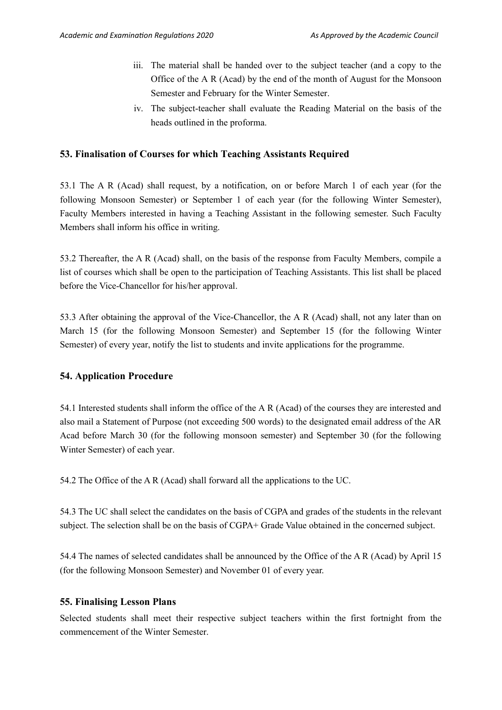- iii. The material shall be handed over to the subject teacher (and a copy to the Office of the A R (Acad) by the end of the month of August for the Monsoon Semester and February for the Winter Semester.
- iv. The subject-teacher shall evaluate the Reading Material on the basis of the heads outlined in the proforma.

#### **53. Finalisation of Courses for which Teaching Assistants Required**

53.1 The A R (Acad) shall request, by a notification, on or before March 1 of each year (for the following Monsoon Semester) or September 1 of each year (for the following Winter Semester), Faculty Members interested in having a Teaching Assistant in the following semester. Such Faculty Members shall inform his office in writing.

53.2 Thereafter, the A R (Acad) shall, on the basis of the response from Faculty Members, compile a list of courses which shall be open to the participation of Teaching Assistants. This list shall be placed before the Vice-Chancellor for his/her approval.

53.3 After obtaining the approval of the Vice-Chancellor, the A R (Acad) shall, not any later than on March 15 (for the following Monsoon Semester) and September 15 (for the following Winter Semester) of every year, notify the list to students and invite applications for the programme.

### **54. Application Procedure**

54.1 Interested students shall inform the office of the A R (Acad) of the courses they are interested and also mail a Statement of Purpose (not exceeding 500 words) to the designated email address of the AR Acad before March 30 (for the following monsoon semester) and September 30 (for the following Winter Semester) of each year.

54.2 The Office of the A R (Acad) shall forward all the applications to the UC.

54.3 The UC shall select the candidates on the basis of CGPA and grades of the students in the relevant subject. The selection shall be on the basis of CGPA+ Grade Value obtained in the concerned subject.

54.4 The names of selected candidates shall be announced by the Office of the A R (Acad) by April 15 (for the following Monsoon Semester) and November 01 of every year.

#### **55. Finalising Lesson Plans**

Selected students shall meet their respective subject teachers within the first fortnight from the commencement of the Winter Semester.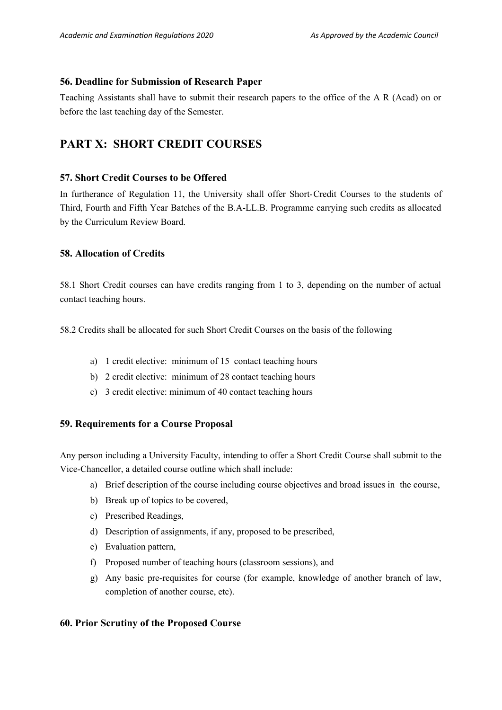#### **56. Deadline for Submission of Research Paper**

Teaching Assistants shall have to submit their research papers to the office of the A R (Acad) on or before the last teaching day of the Semester.

## **PART X: SHORT CREDIT COURSES**

### **57. Short Credit Courses to be Offered**

In furtherance of Regulation 11, the University shall offer Short-Credit Courses to the students of Third, Fourth and Fifth Year Batches of the B.A-LL.B. Programme carrying such credits as allocated by the Curriculum Review Board.

## **58. Allocation of Credits**

58.1 Short Credit courses can have credits ranging from 1 to 3, depending on the number of actual contact teaching hours.

58.2 Credits shall be allocated for such Short Credit Courses on the basis of the following

- a) 1 credit elective: minimum of 15 contact teaching hours
- b) 2 credit elective: minimum of 28 contact teaching hours
- c) 3 credit elective: minimum of 40 contact teaching hours

## **59. Requirements for a Course Proposal**

Any person including a University Faculty, intending to offer a Short Credit Course shall submit to the Vice-Chancellor, a detailed course outline which shall include:

- a) Brief description of the course including course objectives and broad issues in the course,
- b) Break up of topics to be covered,
- c) Prescribed Readings,
- d) Description of assignments, if any, proposed to be prescribed,
- e) Evaluation pattern,
- f) Proposed number of teaching hours (classroom sessions), and
- g) Any basic pre-requisites for course (for example, knowledge of another branch of law, completion of another course, etc).

## **60. Prior Scrutiny of the Proposed Course**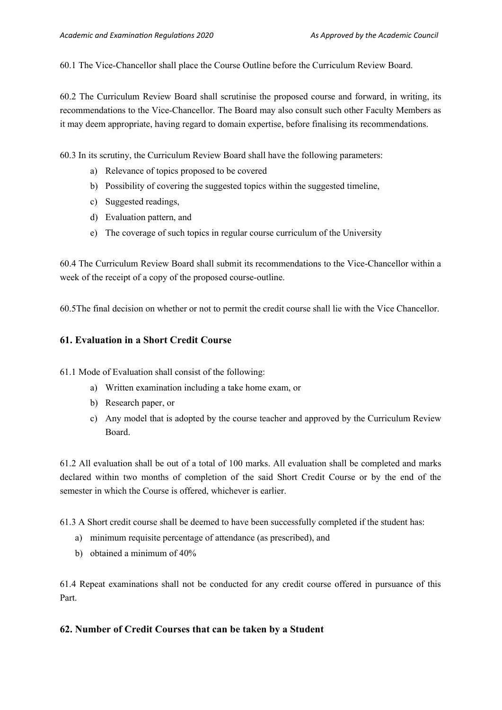60.1 The Vice-Chancellor shall place the Course Outline before the Curriculum Review Board.

60.2 The Curriculum Review Board shall scrutinise the proposed course and forward, in writing, its recommendations to the Vice-Chancellor. The Board may also consult such other Faculty Members as it may deem appropriate, having regard to domain expertise, before finalising its recommendations.

60.3 In its scrutiny, the Curriculum Review Board shall have the following parameters:

- a) Relevance of topics proposed to be covered
- b) Possibility of covering the suggested topics within the suggested timeline,
- c) Suggested readings,
- d) Evaluation pattern, and
- e) The coverage of such topics in regular course curriculum of the University

60.4 The Curriculum Review Board shall submit its recommendations to the Vice-Chancellor within a week of the receipt of a copy of the proposed course-outline.

60.5The final decision on whether or not to permit the credit course shall lie with the Vice Chancellor.

## **61. Evaluation in a Short Credit Course**

61.1 Mode of Evaluation shall consist of the following:

- a) Written examination including a take home exam, or
- b) Research paper, or
- c) Any model that is adopted by the course teacher and approved by the Curriculum Review Board.

61.2 All evaluation shall be out of a total of 100 marks. All evaluation shall be completed and marks declared within two months of completion of the said Short Credit Course or by the end of the semester in which the Course is offered, whichever is earlier.

61.3 A Short credit course shall be deemed to have been successfully completed if the student has:

- a) minimum requisite percentage of attendance (as prescribed), and
- b) obtained a minimum of 40%

61.4 Repeat examinations shall not be conducted for any credit course offered in pursuance of this Part.

## **62. Number of Credit Courses that can be taken by a Student**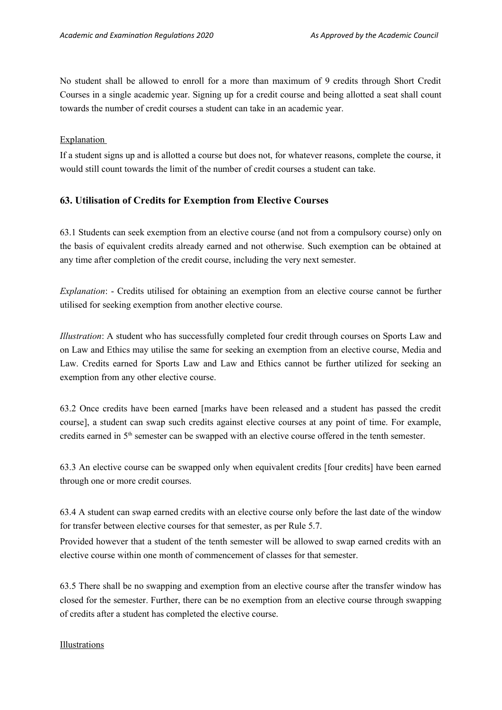No student shall be allowed to enroll for a more than maximum of 9 credits through Short Credit Courses in a single academic year. Signing up for a credit course and being allotted a seat shall count towards the number of credit courses a student can take in an academic year.

Explanation

If a student signs up and is allotted a course but does not, for whatever reasons, complete the course, it would still count towards the limit of the number of credit courses a student can take.

#### **63. Utilisation of Credits for Exemption from Elective Courses**

63.1 Students can seek exemption from an elective course (and not from a compulsory course) only on the basis of equivalent credits already earned and not otherwise. Such exemption can be obtained at any time after completion of the credit course, including the very next semester.

*Explanation*: - Credits utilised for obtaining an exemption from an elective course cannot be further utilised for seeking exemption from another elective course.

*Illustration*: A student who has successfully completed four credit through courses on Sports Law and on Law and Ethics may utilise the same for seeking an exemption from an elective course, Media and Law. Credits earned for Sports Law and Law and Ethics cannot be further utilized for seeking an exemption from any other elective course.

63.2 Once credits have been earned [marks have been released and a student has passed the credit course], a student can swap such credits against elective courses at any point of time. For example, credits earned in 5<sup>th</sup> semester can be swapped with an elective course offered in the tenth semester.

63.3 An elective course can be swapped only when equivalent credits [four credits] have been earned through one or more credit courses.

63.4 A student can swap earned credits with an elective course only before the last date of the window for transfer between elective courses for that semester, as per Rule 5.7.

Provided however that a student of the tenth semester will be allowed to swap earned credits with an elective course within one month of commencement of classes for that semester.

63.5 There shall be no swapping and exemption from an elective course after the transfer window has closed for the semester. Further, there can be no exemption from an elective course through swapping of credits after a student has completed the elective course.

#### Illustrations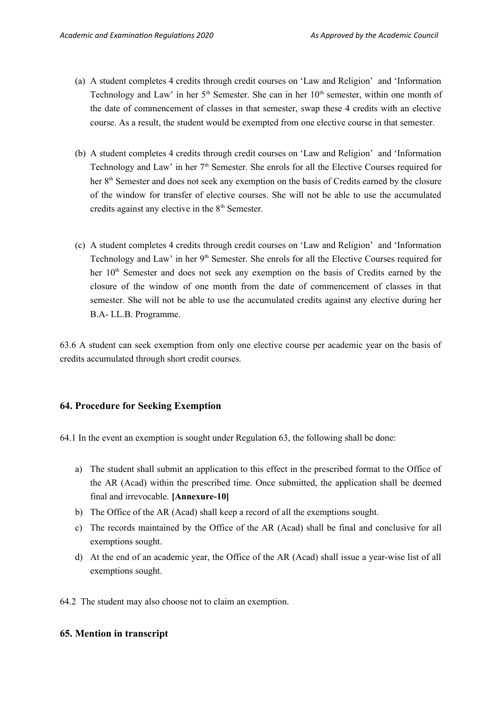- (a) A student completes 4 credits through credit courses on 'Law and Religion' and 'Information Technology and Law' in her 5<sup>th</sup> Semester. She can in her 10<sup>th</sup> semester, within one month of the date of commencement of classes in that semester, swap these 4 credits with an elective course. As a result, the student would be exempted from one elective course in that semester.
- (b) A student completes 4 credits through credit courses on 'Law and Religion' and 'Information Technology and Law' in her 7<sup>th</sup> Semester. She enrols for all the Elective Courses required for her 8<sup>th</sup> Semester and does not seek any exemption on the basis of Credits earned by the closure of the window for transfer of elective courses. She will not be able to use the accumulated credits against any elective in the 8<sup>th</sup> Semester.
- (c) A student completes 4 credits through credit courses on 'Law and Religion' and 'Information Technology and Law' in her 9<sup>th</sup> Semester. She enrols for all the Elective Courses required for her 10<sup>th</sup> Semester and does not seek any exemption on the basis of Credits earned by the closure of the window of one month from the date of commencement of classes in that semester. She will not be able to use the accumulated credits against any elective during her B.A- LL.B. Programme.

63.6 A student can seek exemption from only one elective course per academic year on the basis of credits accumulated through short credit courses.

#### **64. Procedure for Seeking Exemption**

64.1 In the event an exemption is sought under Regulation 63, the following shall be done:

- a) The student shall submit an application to this effect in the prescribed format to the Office of the AR (Acad) within the prescribed time. Once submitted, the application shall be deemed final and irrevocable. **[Annexure-10]**
- b) The Office of the AR (Acad) shall keep a record of all the exemptions sought.
- c) The records maintained by the Office of the AR (Acad) shall be final and conclusive for all exemptions sought.
- d) At the end of an academic year, the Office of the AR (Acad) shall issue a year-wise list of all exemptions sought.
- 64.2 The student may also choose not to claim an exemption.

#### **65. Mention in transcript**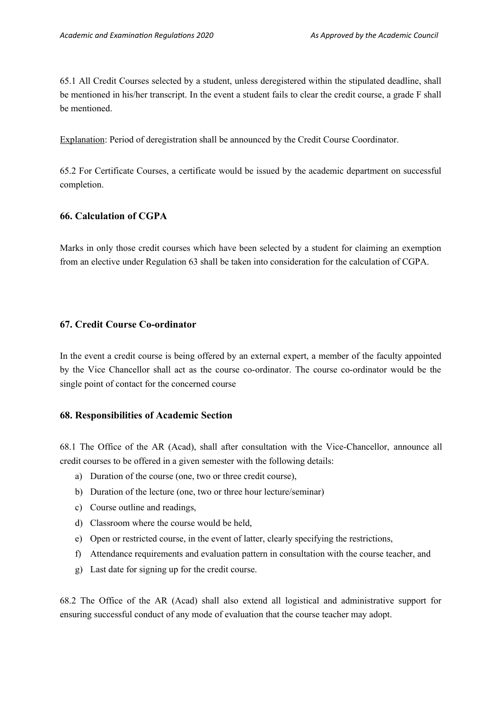65.1 All Credit Courses selected by a student, unless deregistered within the stipulated deadline, shall be mentioned in his/her transcript. In the event a student fails to clear the credit course, a grade F shall be mentioned.

Explanation: Period of deregistration shall be announced by the Credit Course Coordinator.

65.2 For Certificate Courses, a certificate would be issued by the academic department on successful completion.

#### **66. Calculation of CGPA**

Marks in only those credit courses which have been selected by a student for claiming an exemption from an elective under Regulation 63 shall be taken into consideration for the calculation of CGPA.

### **67. Credit Course Co-ordinator**

In the event a credit course is being offered by an external expert, a member of the faculty appointed by the Vice Chancellor shall act as the course co-ordinator. The course co-ordinator would be the single point of contact for the concerned course

#### **68. Responsibilities of Academic Section**

68.1 The Office of the AR (Acad), shall after consultation with the Vice-Chancellor, announce all credit courses to be offered in a given semester with the following details:

- a) Duration of the course (one, two or three credit course),
- b) Duration of the lecture (one, two or three hour lecture/seminar)
- c) Course outline and readings,
- d) Classroom where the course would be held,
- e) Open or restricted course, in the event of latter, clearly specifying the restrictions,
- f) Attendance requirements and evaluation pattern in consultation with the course teacher, and
- g) Last date for signing up for the credit course.

68.2 The Office of the AR (Acad) shall also extend all logistical and administrative support for ensuring successful conduct of any mode of evaluation that the course teacher may adopt.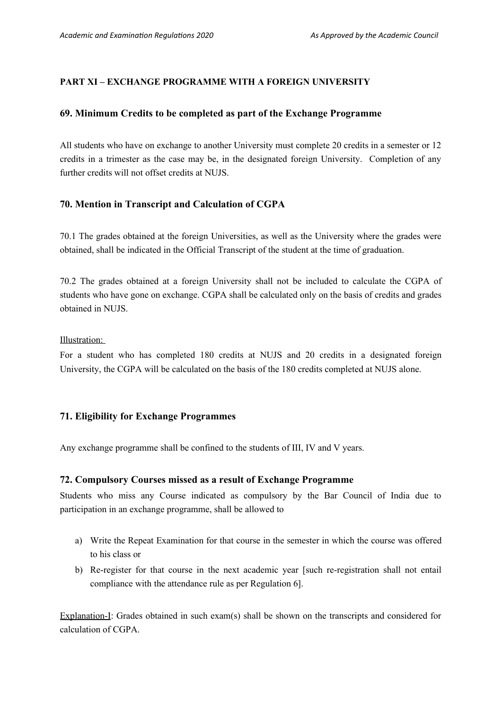## **PART XI – EXCHANGE PROGRAMME WITH A FOREIGN UNIVERSITY**

#### **69. Minimum Credits to be completed as part of the Exchange Programme**

All students who have on exchange to another University must complete 20 credits in a semester or 12 credits in a trimester as the case may be, in the designated foreign University. Completion of any further credits will not offset credits at NUJS.

## **70. Mention in Transcript and Calculation of CGPA**

70.1 The grades obtained at the foreign Universities, as well as the University where the grades were obtained, shall be indicated in the Official Transcript of the student at the time of graduation.

70.2 The grades obtained at a foreign University shall not be included to calculate the CGPA of students who have gone on exchange. CGPA shall be calculated only on the basis of credits and grades obtained in NUJS.

Illustration:

For a student who has completed 180 credits at NUJS and 20 credits in a designated foreign University, the CGPA will be calculated on the basis of the 180 credits completed at NUJS alone.

### **71. Eligibility for Exchange Programmes**

Any exchange programme shall be confined to the students of III, IV and V years.

#### **72. Compulsory Courses missed as a result of Exchange Programme**

Students who miss any Course indicated as compulsory by the Bar Council of India due to participation in an exchange programme, shall be allowed to

- a) Write the Repeat Examination for that course in the semester in which the course was offered to his class or
- b) Re-register for that course in the next academic year [such re-registration shall not entail compliance with the attendance rule as per Regulation 6].

Explanation-I: Grades obtained in such exam(s) shall be shown on the transcripts and considered for calculation of CGPA.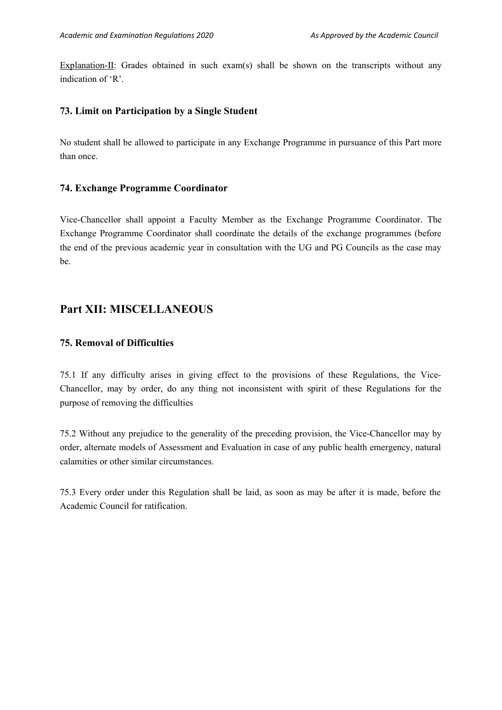Explanation-II: Grades obtained in such exam(s) shall be shown on the transcripts without any indication of 'R'.

## **73. Limit on Participation by a Single Student**

No student shall be allowed to participate in any Exchange Programme in pursuance of this Part more than once.

### **74. Exchange Programme Coordinator**

Vice-Chancellor shall appoint a Faculty Member as the Exchange Programme Coordinator. The Exchange Programme Coordinator shall coordinate the details of the exchange programmes (before the end of the previous academic year in consultation with the UG and PG Councils as the case may be.

## **Part XII: MISCELLANEOUS**

## **75. Removal of Difficulties**

75.1 If any difficulty arises in giving effect to the provisions of these Regulations, the Vice-Chancellor, may by order, do any thing not inconsistent with spirit of these Regulations for the purpose of removing the difficulties

75.2 Without any prejudice to the generality of the preceding provision, the Vice-Chancellor may by order, alternate models of Assessment and Evaluation in case of any public health emergency, natural calamities or other similar circumstances.

75.3 Every order under this Regulation shall be laid, as soon as may be after it is made, before the Academic Council for ratification.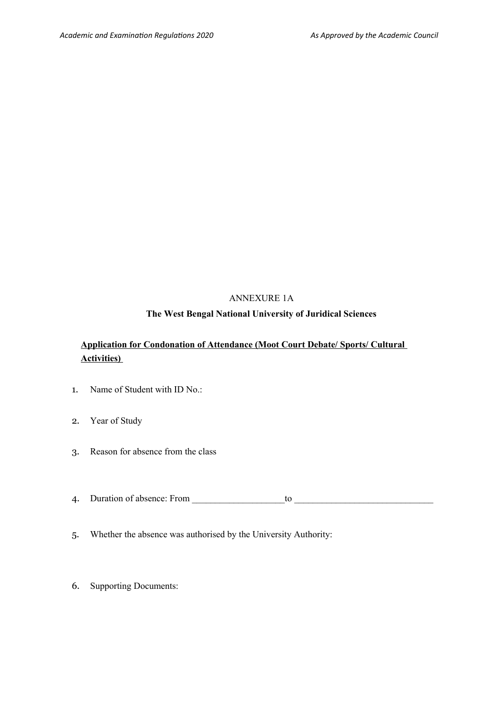## ANNEXURE 1A

### **The West Bengal National University of Juridical Sciences**

## **Application for Condonation of Attendance (Moot Court Debate/ Sports/ Cultural Activities)**

- 1. Name of Student with ID No.:
- 2. Year of Study
- 3. Reason for absence from the class
- 4. Duration of absence: From \_\_\_\_\_\_\_\_\_\_\_\_\_\_\_\_\_\_\_\_to \_\_\_\_\_\_\_\_\_\_\_\_\_\_\_\_\_\_\_\_\_\_\_\_\_\_\_\_\_\_
- 5. Whether the absence was authorised by the University Authority:
- 6. Supporting Documents: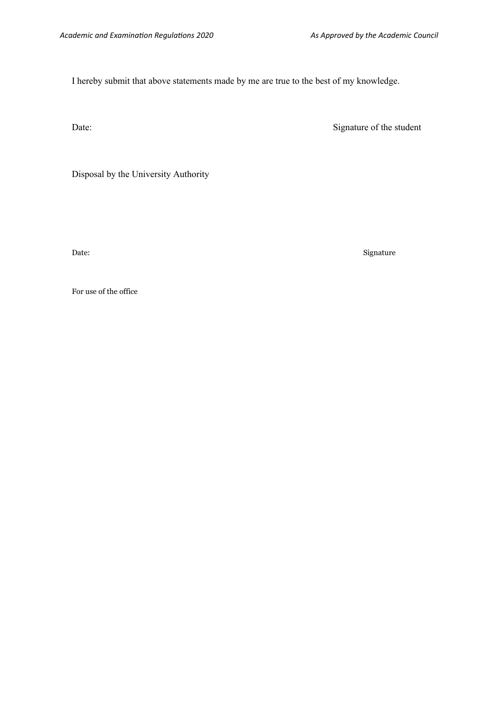I hereby submit that above statements made by me are true to the best of my knowledge.

Date: Signature of the student

Disposal by the University Authority

Date: Signature

For use of the office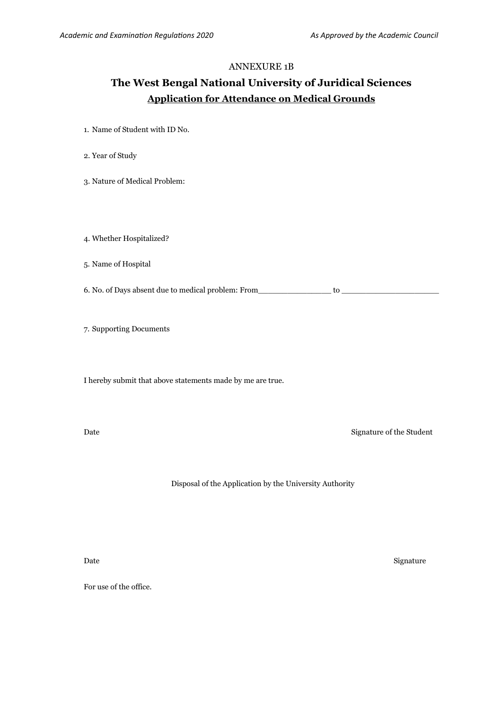#### ANNEXURE 1B

## **The West Bengal National University of Juridical Sciences Application for Attendance on Medical Grounds**

- 1. Name of Student with ID No.
- 2. Year of Study
- 3. Nature of Medical Problem:
- 4. Whether Hospitalized?
- 5. Name of Hospital
- 6. No. of Days absent due to medical problem: From\_\_\_\_\_\_\_\_\_\_\_\_\_\_\_ to \_\_\_\_\_\_\_\_\_\_\_\_\_\_\_\_\_\_\_\_
- 7. Supporting Documents

I hereby submit that above statements made by me are true.

Date Signature of the Student

Disposal of the Application by the University Authority

Date Signature Signature Signature Signature Signature Signature Signature Signature Signature Signature Signature

For use of the office.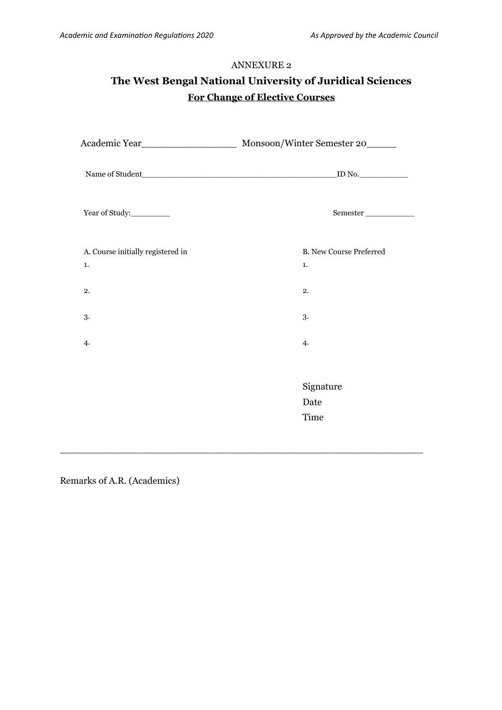# **The West Bengal National University of Juridical Sciences For Change of Elective Courses**

| Name of Student                         | ID No.                               |
|-----------------------------------------|--------------------------------------|
| Year of Study:                          | ${\tt Semester}\_$                   |
| A. Course initially registered in<br>1. | <b>B. New Course Preferred</b><br>1. |
| 2.                                      | 2.                                   |
| 3.                                      | 3.                                   |
| 4.                                      | 4.                                   |
|                                         |                                      |
|                                         | Signature                            |
|                                         | Date                                 |
|                                         | Time                                 |
|                                         |                                      |

 $\_$  , and the set of the set of the set of the set of the set of the set of the set of the set of the set of the set of the set of the set of the set of the set of the set of the set of the set of the set of the set of th

Remarks of A.R. (Academics)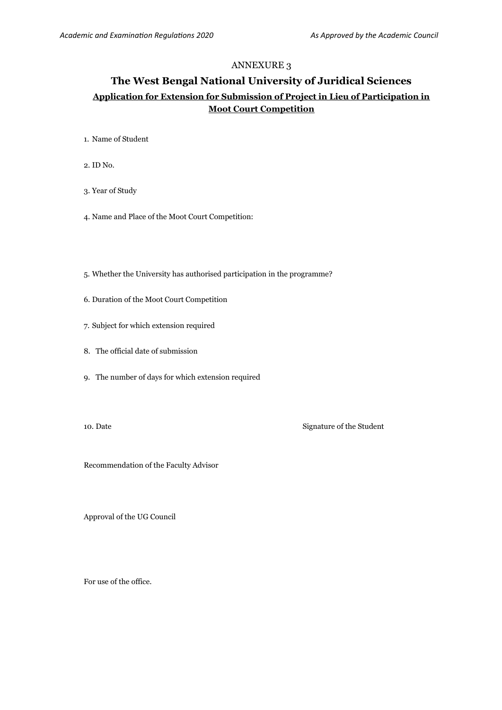## **The West Bengal National University of Juridical Sciences Application for Extension for Submission of Project in Lieu of Participation in Moot Court Competition**

- 1. Name of Student
- 2. ID No.
- 3. Year of Study
- 4. Name and Place of the Moot Court Competition:
- 5. Whether the University has authorised participation in the programme?
- 6. Duration of the Moot Court Competition
- 7. Subject for which extension required
- 8. The official date of submission
- 9. The number of days for which extension required
- 

10. Date Signature of the Student

Recommendation of the Faculty Advisor

Approval of the UG Council

For use of the office.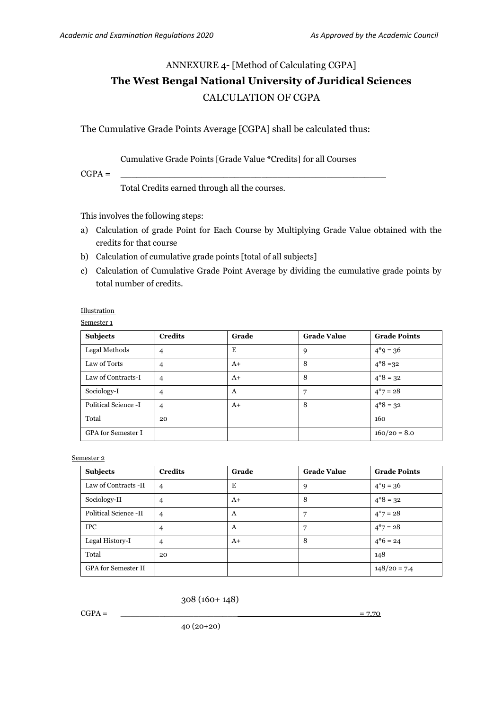# ANNEXURE 4- [Method of Calculating CGPA] **The West Bengal National University of Juridical Sciences**  CALCULATION OF CGPA

The Cumulative Grade Points Average [CGPA] shall be calculated thus:

#### Cumulative Grade Points [Grade Value \*Credits] for all Courses

CGPA = \_\_\_\_\_\_\_\_\_\_\_\_\_\_\_\_\_\_\_\_\_\_\_\_\_\_\_\_\_\_\_\_\_\_\_\_\_\_\_\_\_\_\_\_\_\_\_\_\_

Total Credits earned through all the courses.

This involves the following steps:

- a) Calculation of grade Point for Each Course by Multiplying Grade Value obtained with the credits for that course
- b) Calculation of cumulative grade points [total of all subjects]
- c) Calculation of Cumulative Grade Point Average by dividing the cumulative grade points by total number of credits.

**Illustration** 

| ⊶.<br>– |  |
|---------|--|
|         |  |

| <b>Subjects</b>           | <b>Credits</b> | Grade | <b>Grade Value</b> | <b>Grade Points</b> |
|---------------------------|----------------|-------|--------------------|---------------------|
| Legal Methods             | 4              | Е     | 9                  | $4*9 = 36$          |
| Law of Torts              | $\overline{4}$ | $A+$  | 8                  | $4*8 = 32$          |
| Law of Contracts-I        | $\overline{4}$ | $A+$  | 8                  | $4*8 = 32$          |
| Sociology-I               | $\overline{4}$ | A     | 7                  | $4*7 = 28$          |
| Political Science -I      | $\overline{4}$ | $A+$  | 8                  | $4*8 = 32$          |
| Total                     | 20             |       |                    | 160                 |
| <b>GPA</b> for Semester I |                |       |                    | $160/20 = 8.0$      |

Semester 2

| <b>Subjects</b>            | <b>Credits</b> | Grade | <b>Grade Value</b> | <b>Grade Points</b> |
|----------------------------|----------------|-------|--------------------|---------------------|
| Law of Contracts -II       | $\overline{4}$ | E     | 9                  | $4*9 = 36$          |
| Sociology-II               | $\overline{4}$ | $A+$  | 8                  | $4*8 = 32$          |
| Political Science -II      | $\overline{4}$ | A     | 7                  | $4*7 = 28$          |
| <b>IPC</b>                 | $\overline{4}$ | A     | 7                  | $4*7 = 28$          |
| Legal History-I            | $\overline{4}$ | $A+$  | 8                  | $4*6 = 24$          |
| Total                      | 20             |       |                    | 148                 |
| <b>GPA</b> for Semester II |                |       |                    | $148/20 = 7.4$      |

308 (160+ 148)

 $CGPA = \begin{bmatrix} 2.70 \end{bmatrix}$ 

40 (20+20)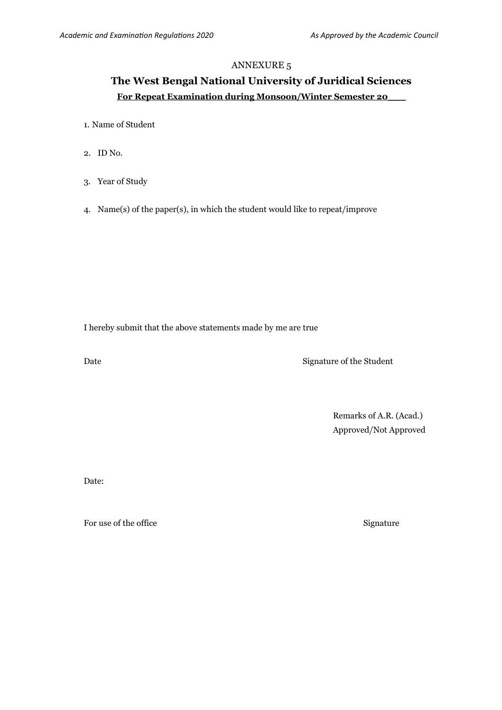# **The West Bengal National University of Juridical Sciences For Repeat Examination during Monsoon/Winter Semester 20\_\_\_**

- 1. Name of Student
- 2. ID No.
- 3. Year of Study
- 4. Name(s) of the paper(s), in which the student would like to repeat/improve

I hereby submit that the above statements made by me are true

Date Signature of the Student

Remarks of A.R. (Acad.) Approved/Not Approved

Date:

For use of the office Signature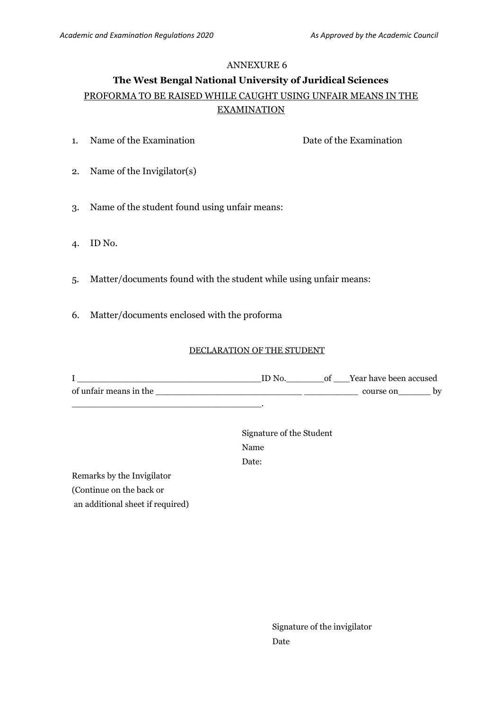# **The West Bengal National University of Juridical Sciences** PROFORMA TO BE RAISED WHILE CAUGHT USING UNFAIR MEANS IN THE EXAMINATION

- 1. Name of the Examination Date of the Examination
	-

- 2. Name of the Invigilator(s)
- 3. Name of the student found using unfair means:
- 4. ID No.
- 5. Matter/documents found with the student while using unfair means:
- 6. Matter/documents enclosed with the proforma

#### DECLARATION OF THE STUDENT

I \_\_\_\_\_\_\_\_\_\_\_\_\_\_\_\_\_\_\_\_\_\_\_\_\_\_\_\_\_\_\_\_\_\_ID No.\_\_\_\_\_\_\_of \_\_\_Year have been accused of unfair means in the \_\_\_\_\_\_\_\_\_\_\_\_\_\_\_\_\_\_\_\_\_\_\_\_\_\_\_ \_\_\_\_\_\_\_\_\_\_ course on\_\_\_\_\_\_ by \_\_\_\_\_\_\_\_\_\_\_\_\_\_\_\_\_\_\_\_\_\_\_\_\_\_\_\_\_\_\_\_\_\_\_.

> Signature of the Student Name Date:

Remarks by the Invigilator (Continue on the back or

an additional sheet if required)

Signature of the invigilator Date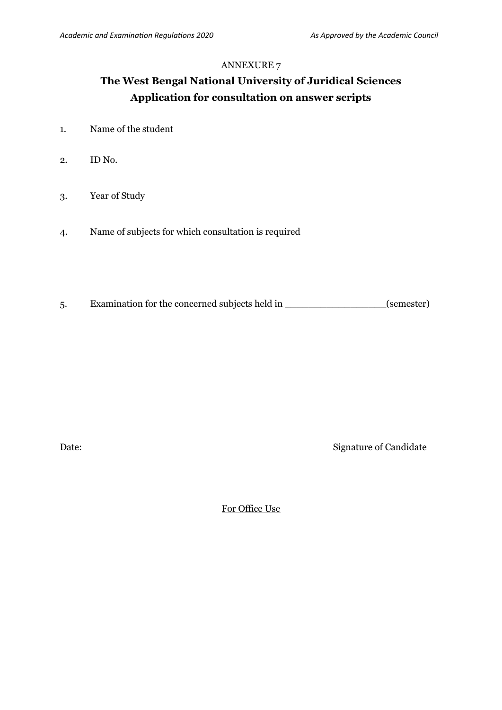# **The West Bengal National University of Juridical Sciences Application for consultation on answer scripts**

- 1. Name of the student
- 2. ID No.
- 3. Year of Study
- 4. Name of subjects for which consultation is required
- 5. Examination for the concerned subjects held in \_\_\_\_\_\_\_\_\_\_\_\_\_\_\_\_\_(semester)

Date: Signature of Candidate

For Office Use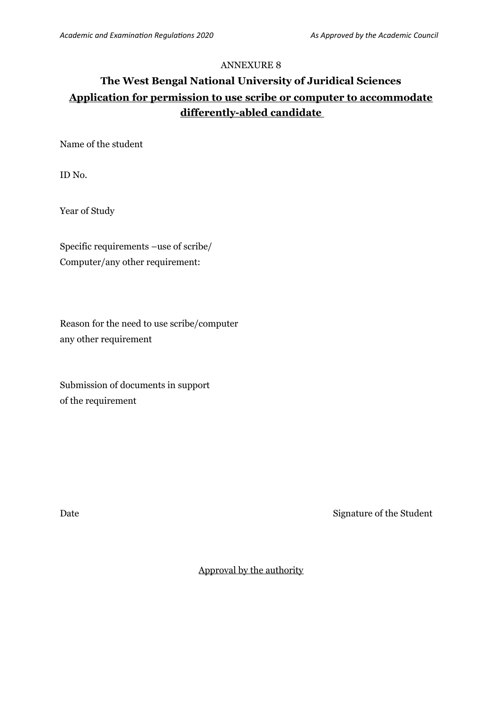# **The West Bengal National University of Juridical Sciences Application for permission to use scribe or computer to accommodate differently-abled candidate**

Name of the student

ID No.

Year of Study

Specific requirements –use of scribe/ Computer/any other requirement:

Reason for the need to use scribe/computer any other requirement

Submission of documents in support of the requirement

Date Signature of the Student

Approval by the authority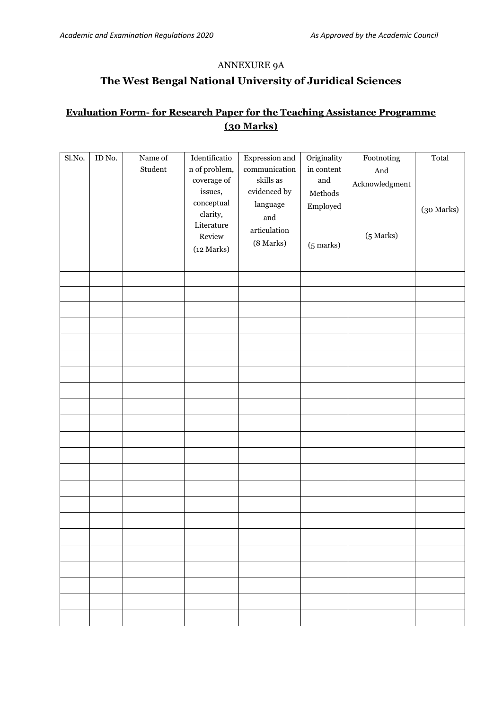## ANNEXURE 9A

# **The West Bengal National University of Juridical Sciences**

## **Evaluation Form- for Research Paper for the Teaching Assistance Programme (30 Marks)**

| Sl.No. | ID No. | Name of<br>Student | Identificatio<br>$\mathbf n$ of problem,<br>coverage of<br>issues,<br>$_{\rm conceptual}$<br>clarity,<br>Literature<br>Review<br>(12 Marks) | Expression and<br>communication<br>skills as<br>evidenced by<br>language<br>and<br>articulation<br>(8 Marks) | Originality<br>in content<br>and<br>$\operatorname{\mathsf{Methods}}$<br>Employed<br>$(5$ marks) | Footnoting<br>And<br>$\Large {\bf Acknowledgment}$<br>(5 Marks) | Total<br>(30 Marks) |
|--------|--------|--------------------|---------------------------------------------------------------------------------------------------------------------------------------------|--------------------------------------------------------------------------------------------------------------|--------------------------------------------------------------------------------------------------|-----------------------------------------------------------------|---------------------|
|        |        |                    |                                                                                                                                             |                                                                                                              |                                                                                                  |                                                                 |                     |
|        |        |                    |                                                                                                                                             |                                                                                                              |                                                                                                  |                                                                 |                     |
|        |        |                    |                                                                                                                                             |                                                                                                              |                                                                                                  |                                                                 |                     |
|        |        |                    |                                                                                                                                             |                                                                                                              |                                                                                                  |                                                                 |                     |
|        |        |                    |                                                                                                                                             |                                                                                                              |                                                                                                  |                                                                 |                     |
|        |        |                    |                                                                                                                                             |                                                                                                              |                                                                                                  |                                                                 |                     |
|        |        |                    |                                                                                                                                             |                                                                                                              |                                                                                                  |                                                                 |                     |
|        |        |                    |                                                                                                                                             |                                                                                                              |                                                                                                  |                                                                 |                     |
|        |        |                    |                                                                                                                                             |                                                                                                              |                                                                                                  |                                                                 |                     |
|        |        |                    |                                                                                                                                             |                                                                                                              |                                                                                                  |                                                                 |                     |
|        |        |                    |                                                                                                                                             |                                                                                                              |                                                                                                  |                                                                 |                     |
|        |        |                    |                                                                                                                                             |                                                                                                              |                                                                                                  |                                                                 |                     |
|        |        |                    |                                                                                                                                             |                                                                                                              |                                                                                                  |                                                                 |                     |
|        |        |                    |                                                                                                                                             |                                                                                                              |                                                                                                  |                                                                 |                     |
|        |        |                    |                                                                                                                                             |                                                                                                              |                                                                                                  |                                                                 |                     |
|        |        |                    |                                                                                                                                             |                                                                                                              |                                                                                                  |                                                                 |                     |
|        |        |                    |                                                                                                                                             |                                                                                                              |                                                                                                  |                                                                 |                     |
|        |        |                    |                                                                                                                                             |                                                                                                              |                                                                                                  |                                                                 |                     |
|        |        |                    |                                                                                                                                             |                                                                                                              |                                                                                                  |                                                                 |                     |
|        |        |                    |                                                                                                                                             |                                                                                                              |                                                                                                  |                                                                 |                     |
|        |        |                    |                                                                                                                                             |                                                                                                              |                                                                                                  |                                                                 |                     |
|        |        |                    |                                                                                                                                             |                                                                                                              |                                                                                                  |                                                                 |                     |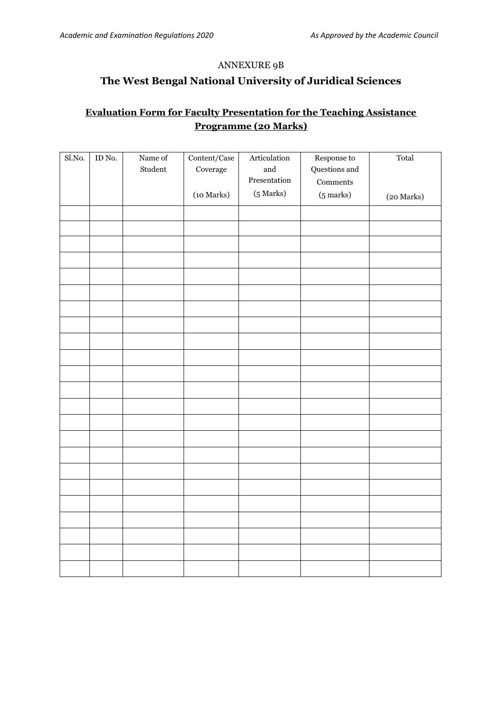## ANNEXURE 9B

## **The West Bengal National University of Juridical Sciences**

## **Evaluation Form for Faculty Presentation for the Teaching Assistance Programme (20 Marks)**

| Sl.No. | $\mathop{\rm ID}\nolimits$ No. | Name of<br>Student | $\mbox{Content/Case}$<br>Coverage | $\begin{minipage}{.4\linewidth} Articulation \end{minipage} \vspace{-0.000\textwidth}$<br>$\quad$ and<br>Presentation | Response to<br>Questions and<br>Comments | Total      |
|--------|--------------------------------|--------------------|-----------------------------------|-----------------------------------------------------------------------------------------------------------------------|------------------------------------------|------------|
|        |                                |                    | (10 Marks)                        | $(5$ Marks)                                                                                                           | $(5$ marks)                              | (20 Marks) |
|        |                                |                    |                                   |                                                                                                                       |                                          |            |
|        |                                |                    |                                   |                                                                                                                       |                                          |            |
|        |                                |                    |                                   |                                                                                                                       |                                          |            |
|        |                                |                    |                                   |                                                                                                                       |                                          |            |
|        |                                |                    |                                   |                                                                                                                       |                                          |            |
|        |                                |                    |                                   |                                                                                                                       |                                          |            |
|        |                                |                    |                                   |                                                                                                                       |                                          |            |
|        |                                |                    |                                   |                                                                                                                       |                                          |            |
|        |                                |                    |                                   |                                                                                                                       |                                          |            |
|        |                                |                    |                                   |                                                                                                                       |                                          |            |
|        |                                |                    |                                   |                                                                                                                       |                                          |            |
|        |                                |                    |                                   |                                                                                                                       |                                          |            |
|        |                                |                    |                                   |                                                                                                                       |                                          |            |
|        |                                |                    |                                   |                                                                                                                       |                                          |            |
|        |                                |                    |                                   |                                                                                                                       |                                          |            |
|        |                                |                    |                                   |                                                                                                                       |                                          |            |
|        |                                |                    |                                   |                                                                                                                       |                                          |            |
|        |                                |                    |                                   |                                                                                                                       |                                          |            |
|        |                                |                    |                                   |                                                                                                                       |                                          |            |
|        |                                |                    |                                   |                                                                                                                       |                                          |            |
|        |                                |                    |                                   |                                                                                                                       |                                          |            |
|        |                                |                    |                                   |                                                                                                                       |                                          |            |
|        |                                |                    |                                   |                                                                                                                       |                                          |            |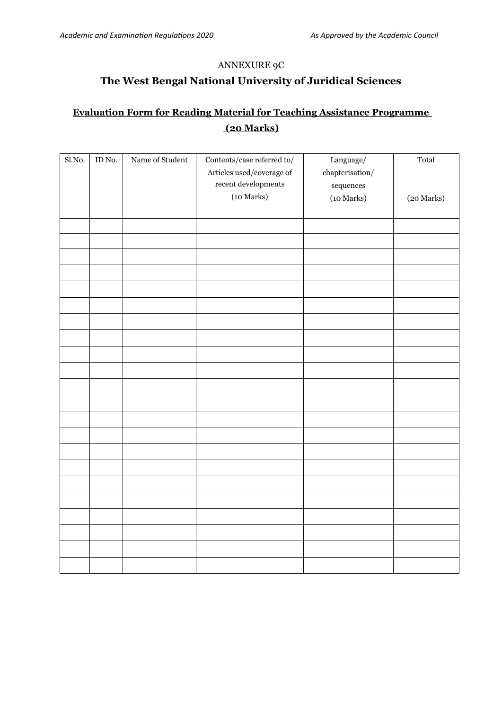### ANNEXURE 9C

# **The West Bengal National University of Juridical Sciences**

# **Evaluation Form for Reading Material for Teaching Assistance Programme (20 Marks)**

| $\overline{S}$ l.No. | ID No. | Name of Student | Contents/case referred to/<br>Articles used/coverage of<br>${\rm recent}$ developments<br>(10 Marks) | Language/<br>${\rm chapterisation}/$<br>$\displaystyle$ sequences<br>(10 Marks) | Total<br>(20 Marks) |
|----------------------|--------|-----------------|------------------------------------------------------------------------------------------------------|---------------------------------------------------------------------------------|---------------------|
|                      |        |                 |                                                                                                      |                                                                                 |                     |
|                      |        |                 |                                                                                                      |                                                                                 |                     |
|                      |        |                 |                                                                                                      |                                                                                 |                     |
|                      |        |                 |                                                                                                      |                                                                                 |                     |
|                      |        |                 |                                                                                                      |                                                                                 |                     |
|                      |        |                 |                                                                                                      |                                                                                 |                     |
|                      |        |                 |                                                                                                      |                                                                                 |                     |
|                      |        |                 |                                                                                                      |                                                                                 |                     |
|                      |        |                 |                                                                                                      |                                                                                 |                     |
|                      |        |                 |                                                                                                      |                                                                                 |                     |
|                      |        |                 |                                                                                                      |                                                                                 |                     |
|                      |        |                 |                                                                                                      |                                                                                 |                     |
|                      |        |                 |                                                                                                      |                                                                                 |                     |
|                      |        |                 |                                                                                                      |                                                                                 |                     |
|                      |        |                 |                                                                                                      |                                                                                 |                     |
|                      |        |                 |                                                                                                      |                                                                                 |                     |
|                      |        |                 |                                                                                                      |                                                                                 |                     |
|                      |        |                 |                                                                                                      |                                                                                 |                     |
|                      |        |                 |                                                                                                      |                                                                                 |                     |
|                      |        |                 |                                                                                                      |                                                                                 |                     |
|                      |        |                 |                                                                                                      |                                                                                 |                     |
|                      |        |                 |                                                                                                      |                                                                                 |                     |
|                      |        |                 |                                                                                                      |                                                                                 |                     |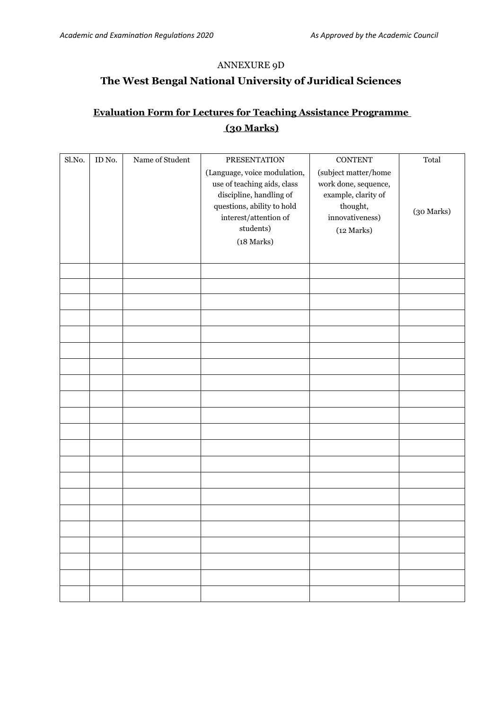### ANNEXURE 9D

# **The West Bengal National University of Juridical Sciences**

# **Evaluation Form for Lectures for Teaching Assistance Programme (30 Marks)**

| Sl.No. | ID No. | Name of Student | <b>PRESENTATION</b>                                                                                                                                                                    | <b>CONTENT</b>                                                                                                   | Total      |
|--------|--------|-----------------|----------------------------------------------------------------------------------------------------------------------------------------------------------------------------------------|------------------------------------------------------------------------------------------------------------------|------------|
|        |        |                 | (Language, voice modulation,<br>use of teaching aids, class<br>discipline, handling of<br>questions, ability to hold<br>$\mbox{interest/attention of}$<br>students)<br>$(18$ Marks $)$ | (subject matter/home<br>work done, sequence,<br>example, clarity of<br>thought,<br>innovativeness)<br>(12 Marks) | (30 Marks) |
|        |        |                 |                                                                                                                                                                                        |                                                                                                                  |            |
|        |        |                 |                                                                                                                                                                                        |                                                                                                                  |            |
|        |        |                 |                                                                                                                                                                                        |                                                                                                                  |            |
|        |        |                 |                                                                                                                                                                                        |                                                                                                                  |            |
|        |        |                 |                                                                                                                                                                                        |                                                                                                                  |            |
|        |        |                 |                                                                                                                                                                                        |                                                                                                                  |            |
|        |        |                 |                                                                                                                                                                                        |                                                                                                                  |            |
|        |        |                 |                                                                                                                                                                                        |                                                                                                                  |            |
|        |        |                 |                                                                                                                                                                                        |                                                                                                                  |            |
|        |        |                 |                                                                                                                                                                                        |                                                                                                                  |            |
|        |        |                 |                                                                                                                                                                                        |                                                                                                                  |            |
|        |        |                 |                                                                                                                                                                                        |                                                                                                                  |            |
|        |        |                 |                                                                                                                                                                                        |                                                                                                                  |            |
|        |        |                 |                                                                                                                                                                                        |                                                                                                                  |            |
|        |        |                 |                                                                                                                                                                                        |                                                                                                                  |            |
|        |        |                 |                                                                                                                                                                                        |                                                                                                                  |            |
|        |        |                 |                                                                                                                                                                                        |                                                                                                                  |            |
|        |        |                 |                                                                                                                                                                                        |                                                                                                                  |            |
|        |        |                 |                                                                                                                                                                                        |                                                                                                                  |            |
|        |        |                 |                                                                                                                                                                                        |                                                                                                                  |            |
|        |        |                 |                                                                                                                                                                                        |                                                                                                                  |            |